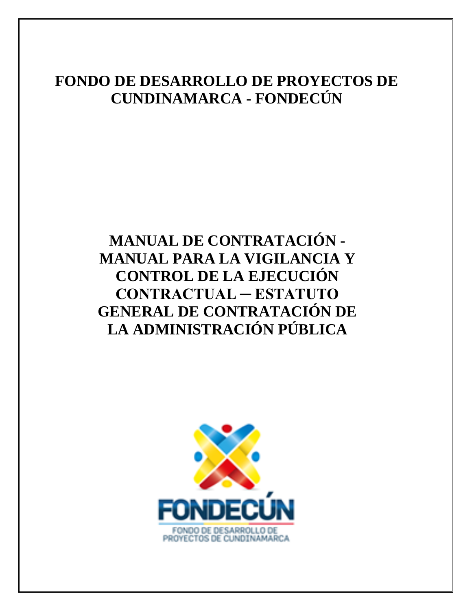# **FONDO DE DESARROLLO DE PROYECTOS DE CUNDINAMARCA - FONDECÚN**

# <span id="page-0-0"></span>**MANUAL DE CONTRATACIÓN - MANUAL PARA LA VIGILANCIA Y CONTROL DE LA EJECUCIÓN CONTRACTUAL ─ ESTATUTO GENERAL DE CONTRATACIÓN DE LA ADMINISTRACIÓN PÚBLICA**

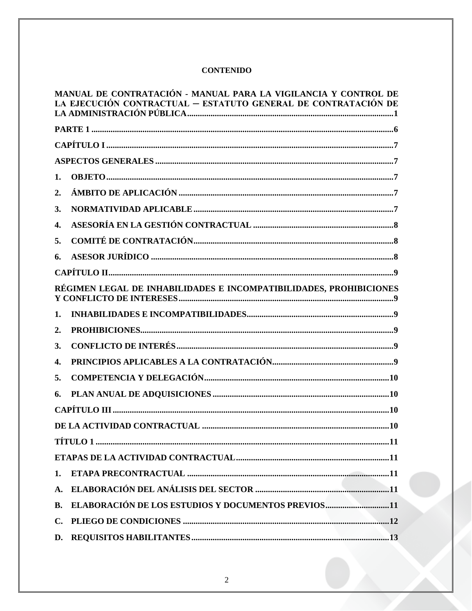# **CONTENIDO**

|                | MANUAL DE CONTRATACIÓN - MANUAL PARA LA VIGILANCIA Y CONTROL DE<br>LA EJECUCIÓN CONTRACTUAL – ESTATUTO GENERAL DE CONTRATACIÓN DE |
|----------------|-----------------------------------------------------------------------------------------------------------------------------------|
|                |                                                                                                                                   |
|                |                                                                                                                                   |
|                |                                                                                                                                   |
| 1.             |                                                                                                                                   |
| 2.             |                                                                                                                                   |
| 3.             |                                                                                                                                   |
| 4.             |                                                                                                                                   |
| 5.             |                                                                                                                                   |
| 6.             |                                                                                                                                   |
|                |                                                                                                                                   |
|                | RÉGIMEN LEGAL DE INHABILIDADES E INCOMPATIBILIDADES, PROHIBICIONES                                                                |
| 1.             |                                                                                                                                   |
| 2.             |                                                                                                                                   |
| 3.             |                                                                                                                                   |
| 4.             |                                                                                                                                   |
| 5.             |                                                                                                                                   |
| 6.             |                                                                                                                                   |
|                |                                                                                                                                   |
|                |                                                                                                                                   |
|                |                                                                                                                                   |
|                |                                                                                                                                   |
| 1.             |                                                                                                                                   |
| A.             |                                                                                                                                   |
| <b>B.</b>      | ELABORACIÓN DE LOS ESTUDIOS Y DOCUMENTOS PREVIOS11                                                                                |
| $\mathbf{C}$ . |                                                                                                                                   |
|                |                                                                                                                                   |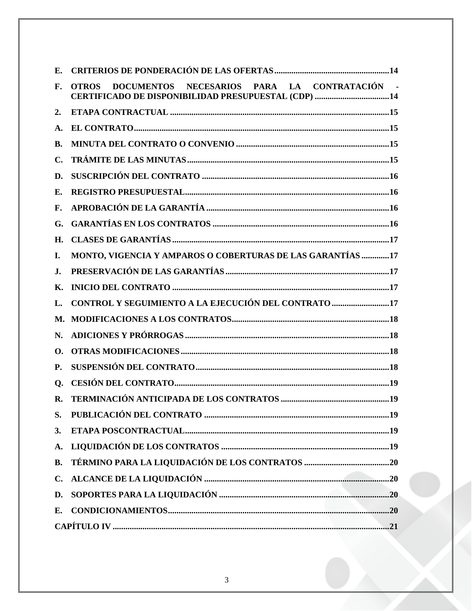| Е.             |                                                                                                                            |
|----------------|----------------------------------------------------------------------------------------------------------------------------|
| F.             | DOCUMENTOS NECESARIOS PARA LA CONTRATACIÓN -<br><b>OTROS</b><br><b>CERTIFICADO DE DISPONIBILIDAD PRESUPUESTAL (CDP) 14</b> |
| 2.             |                                                                                                                            |
| $\mathbf{A}$ . |                                                                                                                            |
| B.             |                                                                                                                            |
| C.             |                                                                                                                            |
| D.             |                                                                                                                            |
| E.             |                                                                                                                            |
| F.             |                                                                                                                            |
| G.             |                                                                                                                            |
| H.             |                                                                                                                            |
| L.             | MONTO, VIGENCIA Y AMPAROS O COBERTURAS DE LAS GARANTÍAS 17                                                                 |
| J.             |                                                                                                                            |
| К.             |                                                                                                                            |
| L.             | CONTROL Y SEGUIMIENTO A LA EJECUCIÓN DEL CONTRATO 17                                                                       |
| М.             |                                                                                                                            |
| N.             |                                                                                                                            |
| О.             |                                                                                                                            |
| <b>P.</b>      |                                                                                                                            |
| <b>O.</b>      |                                                                                                                            |
| R.             |                                                                                                                            |
| S.             |                                                                                                                            |
| 3.             |                                                                                                                            |
| A.             |                                                                                                                            |
| <b>B.</b>      |                                                                                                                            |
| $C_{\bullet}$  |                                                                                                                            |
| D.             |                                                                                                                            |
| E.             |                                                                                                                            |
|                |                                                                                                                            |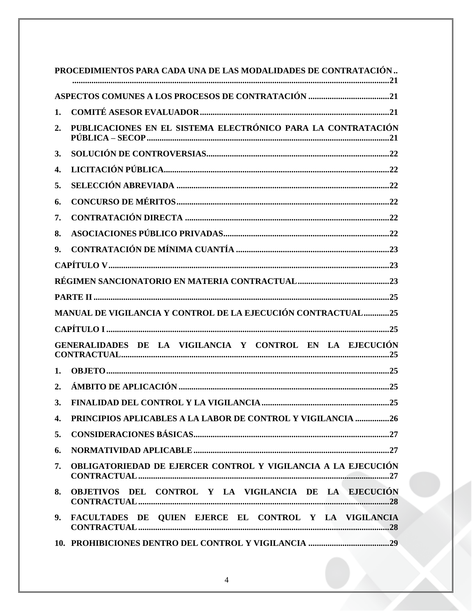|    | PROCEDIMIENTOS PARA CADA UNA DE LAS MODALIDADES DE CONTRATACIÓN     |
|----|---------------------------------------------------------------------|
|    |                                                                     |
| 1. |                                                                     |
| 2. | PUBLICACIONES EN EL SISTEMA ELECTRÓNICO PARA LA CONTRATACIÓN        |
| 3. |                                                                     |
| 4. |                                                                     |
| 5. |                                                                     |
| 6. |                                                                     |
| 7. |                                                                     |
| 8. |                                                                     |
| 9. |                                                                     |
|    |                                                                     |
|    |                                                                     |
|    |                                                                     |
|    | <b>MANUAL DE VIGILANCIA Y CONTROL DE LA EJECUCIÓN CONTRACTUAL25</b> |
|    |                                                                     |
|    | GENERALIDADES DE LA VIGILANCIA Y CONTROL EN LA EJECUCIÓN            |
| 1. |                                                                     |
| 2. |                                                                     |
| 3. |                                                                     |
| 4. | PRINCIPIOS APLICABLES A LA LABOR DE CONTROL Y VIGILANCIA 26         |
| 5. |                                                                     |
| 6. |                                                                     |
| 7. | OBLIGATORIEDAD DE EJERCER CONTROL Y VIGILANCIA A LA EJECUCIÓN       |
| 8. | OBJETIVOS DEL CONTROL Y LA VIGILANCIA DE LA EJECUCIÓN               |
| 9. | FACULTADES DE QUIEN EJERCE EL CONTROL Y LA VIGILANCIA               |
|    |                                                                     |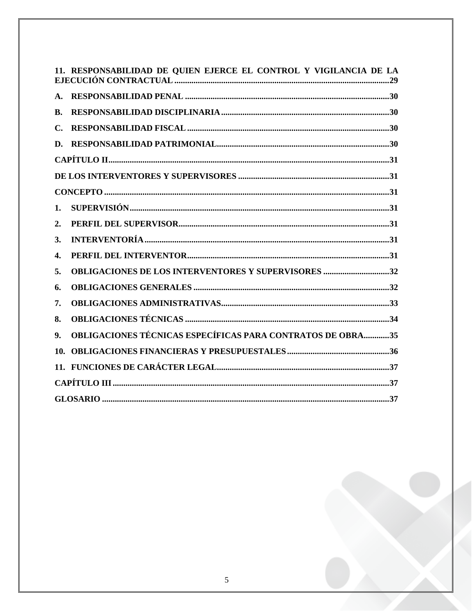|                | 11. RESPONSABILIDAD DE QUIEN EJERCE EL CONTROL Y VIGILANCIA DE LA |
|----------------|-------------------------------------------------------------------|
| $\mathbf{A}$ . |                                                                   |
| B.             |                                                                   |
| $\mathbf{C}$ . |                                                                   |
| D.             |                                                                   |
|                |                                                                   |
|                |                                                                   |
|                |                                                                   |
| 1.             |                                                                   |
| 2.             |                                                                   |
| 3.             |                                                                   |
| 4.             |                                                                   |
| 5.             | <b>OBLIGACIONES DE LOS INTERVENTORES Y SUPERVISORES 32</b>        |
| 6.             |                                                                   |
| 7.             |                                                                   |
| 8.             |                                                                   |
| 9.             | <b>OBLIGACIONES TÉCNICAS ESPECÍFICAS PARA CONTRATOS DE OBRA35</b> |
| 10.            |                                                                   |
|                |                                                                   |
|                |                                                                   |
|                | <b>GLOSARIO</b><br>37                                             |

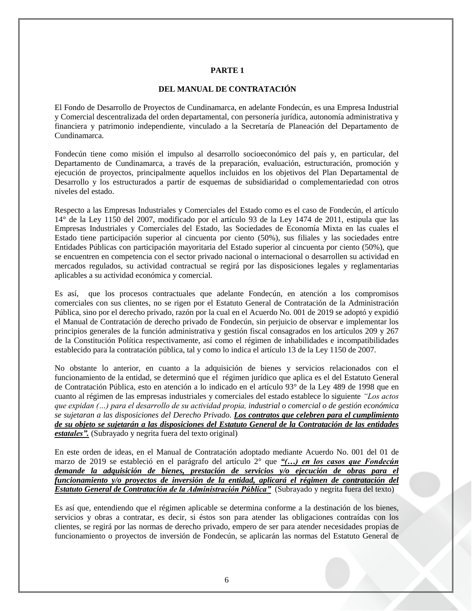#### **PARTE 1**

## **DEL MANUAL DE CONTRATACIÓN**

<span id="page-5-0"></span>El Fondo de Desarrollo de Proyectos de Cundinamarca, en adelante Fondecún, es una Empresa Industrial y Comercial descentralizada del orden departamental, con personería jurídica, autonomía administrativa y financiera y patrimonio independiente, vinculado a la Secretaría de Planeación del Departamento de Cundinamarca.

Fondecún tiene como misión el impulso al desarrollo socioeconómico del país y, en particular, del Departamento de Cundinamarca, a través de la preparación, evaluación, estructuración, promoción y ejecución de proyectos, principalmente aquellos incluidos en los objetivos del Plan Departamental de Desarrollo y los estructurados a partir de esquemas de subsidiaridad o complementariedad con otros niveles del estado.

Respecto a las Empresas Industriales y Comerciales del Estado como es el caso de Fondecún, el artículo 14° de la Ley 1150 del 2007, modificado por el artículo 93 de la Ley 1474 de 2011, estipula que las Empresas Industriales y Comerciales del Estado, las Sociedades de Economía Mixta en las cuales el Estado tiene participación superior al cincuenta por ciento (50%), sus filiales y las sociedades entre Entidades Públicas con participación mayoritaria del Estado superior al cincuenta por ciento (50%), que se encuentren en competencia con el sector privado nacional o internacional o desarrollen su actividad en mercados regulados, su actividad contractual se regirá por las disposiciones legales y reglamentarias aplicables a su actividad económica y comercial.

Es así, que los procesos contractuales que adelante Fondecún, en atención a los compromisos comerciales con sus clientes, no se rigen por el Estatuto General de Contratación de la Administración Pública, sino por el derecho privado, razón por la cual en el Acuerdo No. 001 de 2019 se adoptó y expidió el Manual de Contratación de derecho privado de Fondecún, sin perjuicio de observar e implementar los principios generales de la función administrativa y gestión fiscal consagrados en los artículos 209 y 267 de la Constitución Política respectivamente, así como el régimen de inhabilidades e incompatibilidades establecido para la contratación pública, tal y como lo indica el artículo 13 de la Ley 1150 de 2007.

No obstante lo anterior, en cuanto a la adquisición de bienes y servicios relacionados con el funcionamiento de la entidad, se determinó que el régimen jurídico que aplica es el del Estatuto General de Contratación Pública, esto en atención a lo indicado en el artículo 93° de la Ley 489 de 1998 que en cuanto al régimen de las empresas industriales y comerciales del estado establece lo siguiente *"Los actos que expidan (…) para el desarrollo de su actividad propia, industrial o comercial o de gestión económica se sujetaran a las disposiciones del Derecho Privado. Los contratos que celebren para el cumplimiento de su objeto se sujetarán a las disposiciones del Estatuto General de la Contratación de las entidades estatales".* (Subrayado y negrita fuera del texto original)

En este orden de ideas, en el Manual de Contratación adoptado mediante Acuerdo No. 001 del 01 de marzo de 2019 se estableció en el parágrafo del artículo 2° que *"(…) en los casos que Fondecún demande la adquisición de bienes, prestación de servicios y/o ejecución de obras para el funcionamiento y/o proyectos de inversión de la entidad, aplicará el régimen de contratación del Estatuto General de Contratación de la Administración Pública"* (Subrayado y negrita fuera del texto)

Es así que, entendiendo que el régimen aplicable se determina conforme a la destinación de los bienes, servicios y obras a contratar, es decir, si éstos son para atender las obligaciones contraídas con los clientes, se regirá por las normas de derecho privado, empero de ser para atender necesidades propias de funcionamiento o proyectos de inversión de Fondecún, se aplicarán las normas del Estatuto General de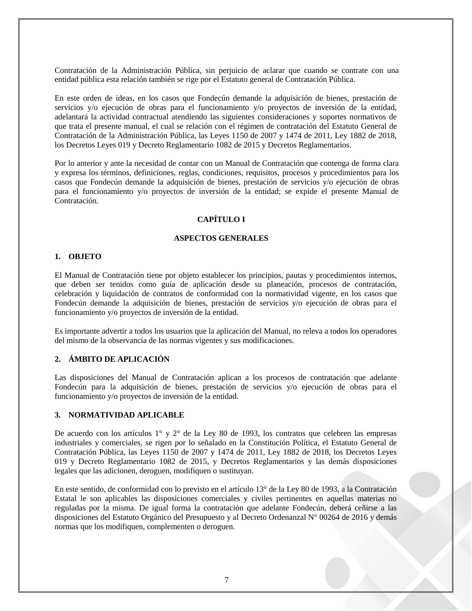Contratación de la Administración Pública, sin perjuicio de aclarar que cuando se contrate con una entidad pública esta relación también se rige por el Estatuto general de Contratación Pública.

En este orden de ideas, en los casos que Fondecún demande la adquisición de bienes, prestación de servicios y/o ejecución de obras para el funcionamiento y/o proyectos de inversión de la entidad, adelantará la actividad contractual atendiendo las siguientes consideraciones y soportes normativos de que trata el presente manual, el cual se relación con el régimen de contratación del Estatuto General de Contratación de la Administración Pública, las Leyes 1150 de 2007 y 1474 de 2011, Ley 1882 de 2018, los Decretos Leyes 019 y Decreto Reglamentario 1082 de 2015 y Decretos Reglamentarios.

Por lo anterior y ante la necesidad de contar con un Manual de Contratación que contenga de forma clara y expresa los términos, definiciones, reglas, condiciones, requisitos, procesos y procedimientos para los casos que Fondecún demande la adquisición de bienes, prestación de servicios y/o ejecución de obras para el funcionamiento y/o proyectos de inversión de la entidad; se expide el presente Manual de Contratación.

# **CAPÍTULO I**

#### **ASPECTOS GENERALES**

#### <span id="page-6-2"></span><span id="page-6-1"></span><span id="page-6-0"></span>**1. OBJETO**

El Manual de Contratación tiene por objeto establecer los principios, pautas y procedimientos internos, que deben ser tenidos como guía de aplicación desde su planeación, procesos de contratación, celebración y liquidación de contratos de conformidad con la normatividad vigente, en los casos que Fondecún demande la adquisición de bienes, prestación de servicios y/o ejecución de obras para el funcionamiento y/o proyectos de inversión de la entidad.

Es importante advertir a todos los usuarios que la aplicación del Manual, no releva a todos los operadores del mismo de la observancia de las normas vigentes y sus modificaciones.

#### <span id="page-6-3"></span>**2. ÁMBITO DE APLICACIÓN**

Las disposiciones del Manual de Contratación aplican a los procesos de contratación que adelante Fondecún para la adquisición de bienes, prestación de servicios y/o ejecución de obras para el funcionamiento y/o proyectos de inversión de la entidad.

#### <span id="page-6-4"></span>**3. NORMATIVIDAD APLICABLE**

De acuerdo con los artículos 1° y 2° de la Ley 80 de 1993, los contratos que celebren las empresas industriales y comerciales, se rigen por lo señalado en la Constitución Política, el Estatuto General de Contratación Pública, las Leyes 1150 de 2007 y 1474 de 2011, Ley 1882 de 2018, los Decretos Leyes 019 y Decreto Reglamentario 1082 de 2015, y Decretos Reglamentarios y las demás disposiciones legales que las adicionen, deroguen, modifiquen o sustituyan.

En este sentido, de conformidad con lo previsto en el artículo 13° de la Ley 80 de 1993, a la Contratación Estatal le son aplicables las disposiciones comerciales y civiles pertinentes en aquellas materias no reguladas por la misma. De igual forma la contratación que adelante Fondecún, deberá ceñirse a las disposiciones del Estatuto Orgánico del Presupuesto y al Decreto Ordenanzal N° 00264 de 2016 y demás normas que los modifiquen, complementen o deroguen.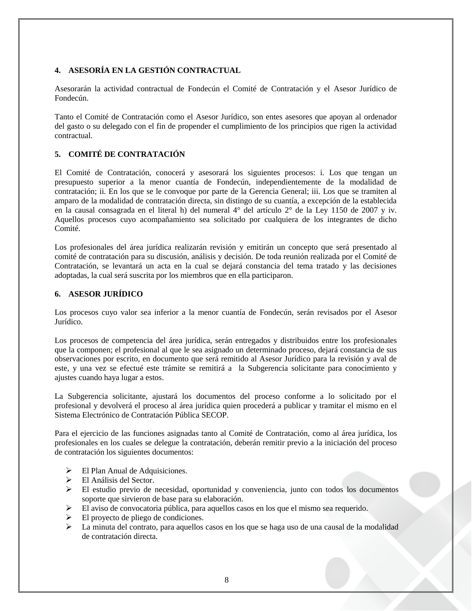# <span id="page-7-0"></span>**4. ASESORÍA EN LA GESTIÓN CONTRACTUAL**

Asesorarán la actividad contractual de Fondecún el Comité de Contratación y el Asesor Jurídico de Fondecún.

Tanto el Comité de Contratación como el Asesor Jurídico, son entes asesores que apoyan al ordenador del gasto o su delegado con el fin de propender el cumplimiento de los principios que rigen la actividad contractual.

# <span id="page-7-1"></span>**5. COMITÉ DE CONTRATACIÓN**

El Comité de Contratación, conocerá y asesorará los siguientes procesos: i. Los que tengan un presupuesto superior a la menor cuantía de Fondecún, independientemente de la modalidad de contratación; ii. En los que se le convoque por parte de la Gerencia General; iii. Los que se tramiten al amparo de la modalidad de contratación directa, sin distingo de su cuantía, a excepción de la establecida en la causal consagrada en el literal h) del numeral 4° del artículo 2° de la Ley 1150 de 2007 y iv. Aquellos procesos cuyo acompañamiento sea solicitado por cualquiera de los integrantes de dicho Comité.

Los profesionales del área jurídica realizarán revisión y emitirán un concepto que será presentado al comité de contratación para su discusión, análisis y decisión. De toda reunión realizada por el Comité de Contratación, se levantará un acta en la cual se dejará constancia del tema tratado y las decisiones adoptadas, la cual será suscrita por los miembros que en ella participaron.

## <span id="page-7-2"></span>**6. ASESOR JURÍDICO**

Los procesos cuyo valor sea inferior a la menor cuantía de Fondecún, serán revisados por el Asesor Jurídico.

Los procesos de competencia del área jurídica, serán entregados y distribuidos entre los profesionales que la componen; el profesional al que le sea asignado un determinado proceso, dejará constancia de sus observaciones por escrito, en documento que será remitido al Asesor Jurídico para la revisión y aval de este, y una vez se efectué este trámite se remitirá a la Subgerencia solicitante para conocimiento y ajustes cuando haya lugar a estos.

La Subgerencia solicitante, ajustará los documentos del proceso conforme a lo solicitado por el profesional y devolverá el proceso al área jurídica quien procederá a publicar y tramitar el mismo en el Sistema Electrónico de Contratación Pública SECOP.

Para el ejercicio de las funciones asignadas tanto al Comité de Contratación, como al área jurídica, los profesionales en los cuales se delegue la contratación, deberán remitir previo a la iniciación del proceso de contratación los siguientes documentos:

- El Plan Anual de Adquisiciones.
- El Análisis del Sector.
- El estudio previo de necesidad, oportunidad y conveniencia, junto con todos los documentos soporte que sirvieron de base para su elaboración.
- El aviso de convocatoria pública, para aquellos casos en los que el mismo sea requerido.
- El proyecto de pliego de condiciones.
- La minuta del contrato, para aquellos casos en los que se haga uso de una causal de la modalidad de contratación directa.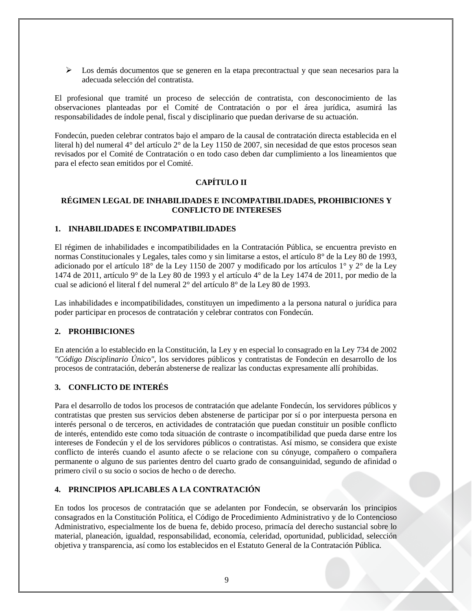$\triangleright$  Los demás documentos que se generen en la etapa precontractual y que sean necesarios para la adecuada selección del contratista.

El profesional que tramité un proceso de selección de contratista, con desconocimiento de las observaciones planteadas por el Comité de Contratación o por el área jurídica, asumirá las responsabilidades de índole penal, fiscal y disciplinario que puedan derivarse de su actuación.

Fondecún, pueden celebrar contratos bajo el amparo de la causal de contratación directa establecida en el literal h) del numeral 4° del artículo 2° de la Ley 1150 de 2007, sin necesidad de que estos procesos sean revisados por el Comité de Contratación o en todo caso deben dar cumplimiento a los lineamientos que para el efecto sean emitidos por el Comité.

## **CAPÍTULO II**

#### <span id="page-8-1"></span><span id="page-8-0"></span>**RÉGIMEN LEGAL DE INHABILIDADES E INCOMPATIBILIDADES, PROHIBICIONES Y CONFLICTO DE INTERESES**

#### <span id="page-8-2"></span>**1. INHABILIDADES E INCOMPATIBILIDADES**

El régimen de inhabilidades e incompatibilidades en la Contratación Pública, se encuentra previsto en normas Constitucionales y Legales, tales como y sin limitarse a estos, el artículo 8° de la Ley 80 de 1993, adicionado por el artículo 18° de la Ley 1150 de 2007 y modificado por los artículos 1° y 2° de la Ley 1474 de 2011, artículo 9° de la Ley 80 de 1993 y el artículo 4° de la Ley 1474 de 2011, por medio de la cual se adicionó el literal f del numeral 2° del artículo 8° de la Ley 80 de 1993.

Las inhabilidades e incompatibilidades, constituyen un impedimento a la persona natural o jurídica para poder participar en procesos de contratación y celebrar contratos con Fondecún.

#### <span id="page-8-3"></span>**2. PROHIBICIONES**

En atención a lo establecido en la Constitución, la Ley y en especial lo consagrado en la Ley 734 de 2002 *"Código Disciplinario Único"*, los servidores públicos y contratistas de Fondecún en desarrollo de los procesos de contratación, deberán abstenerse de realizar las conductas expresamente allí prohibidas.

## <span id="page-8-4"></span>**3. CONFLICTO DE INTERÉS**

Para el desarrollo de todos los procesos de contratación que adelante Fondecún, los servidores públicos y contratistas que presten sus servicios deben abstenerse de participar por sí o por interpuesta persona en interés personal o de terceros, en actividades de contratación que puedan constituir un posible conflicto de interés, entendido este como toda situación de contraste o incompatibilidad que pueda darse entre los intereses de Fondecún y el de los servidores públicos o contratistas. Así mismo, se considera que existe conflicto de interés cuando el asunto afecte o se relacione con su cónyuge, compañero o compañera permanente o alguno de sus parientes dentro del cuarto grado de consanguinidad, segundo de afinidad o primero civil o su socio o socios de hecho o de derecho.

#### <span id="page-8-5"></span>**4. PRINCIPIOS APLICABLES A LA CONTRATACIÓN**

En todos los procesos de contratación que se adelanten por Fondecún, se observarán los principios consagrados en la Constitución Política, el Código de Procedimiento Administrativo y de lo Contencioso Administrativo, especialmente los de buena fe, debido proceso, primacía del derecho sustancial sobre lo material, planeación, igualdad, responsabilidad, economía, celeridad, oportunidad, publicidad, selección objetiva y transparencia, así como los establecidos en el Estatuto General de la Contratación Pública.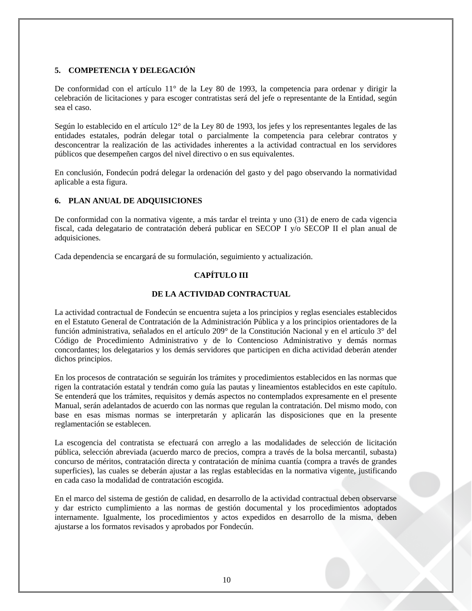## <span id="page-9-0"></span>**5. COMPETENCIA Y DELEGACIÓN**

De conformidad con el artículo 11° de la Ley 80 de 1993, la competencia para ordenar y dirigir la celebración de licitaciones y para escoger contratistas será del jefe o representante de la Entidad, según sea el caso.

Según lo establecido en el artículo 12° de la Ley 80 de 1993, los jefes y los representantes legales de las entidades estatales, podrán delegar total o parcialmente la competencia para celebrar contratos y desconcentrar la realización de las actividades inherentes a la actividad contractual en los servidores públicos que desempeñen cargos del nivel directivo o en sus equivalentes.

En conclusión, Fondecún podrá delegar la ordenación del gasto y del pago observando la normatividad aplicable a esta figura.

## <span id="page-9-1"></span>**6. PLAN ANUAL DE ADQUISICIONES**

De conformidad con la normativa vigente, a más tardar el treinta y uno (31) de enero de cada vigencia fiscal, cada delegatario de contratación deberá publicar en SECOP I y/o SECOP II el plan anual de adquisiciones.

<span id="page-9-2"></span>Cada dependencia se encargará de su formulación, seguimiento y actualización.

# **CAPÍTULO III**

#### **DE LA ACTIVIDAD CONTRACTUAL**

<span id="page-9-3"></span>La actividad contractual de Fondecún se encuentra sujeta a los principios y reglas esenciales establecidos en el Estatuto General de Contratación de la Administración Pública y a los principios orientadores de la función administrativa, señalados en el artículo 209° de la Constitución Nacional y en el artículo 3° del Código de Procedimiento Administrativo y de lo Contencioso Administrativo y demás normas concordantes; los delegatarios y los demás servidores que participen en dicha actividad deberán atender dichos principios.

En los procesos de contratación se seguirán los trámites y procedimientos establecidos en las normas que rigen la contratación estatal y tendrán como guía las pautas y lineamientos establecidos en este capítulo. Se entenderá que los trámites, requisitos y demás aspectos no contemplados expresamente en el presente Manual, serán adelantados de acuerdo con las normas que regulan la contratación. Del mismo modo, con base en esas mismas normas se interpretarán y aplicarán las disposiciones que en la presente reglamentación se establecen.

La escogencia del contratista se efectuará con arreglo a las modalidades de selección de licitación pública, selección abreviada (acuerdo marco de precios, compra a través de la bolsa mercantil, subasta) concurso de méritos, contratación directa y contratación de mínima cuantía (compra a través de grandes superficies), las cuales se deberán ajustar a las reglas establecidas en la normativa vigente, justificando en cada caso la modalidad de contratación escogida.

En el marco del sistema de gestión de calidad, en desarrollo de la actividad contractual deben observarse y dar estricto cumplimiento a las normas de gestión documental y los procedimientos adoptados internamente. Igualmente, los procedimientos y actos expedidos en desarrollo de la misma, deben ajustarse a los formatos revisados y aprobados por Fondecún.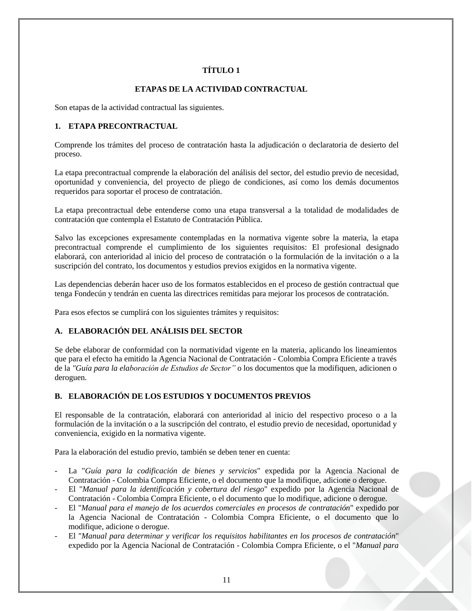# **TÍTULO 1**

## **ETAPAS DE LA ACTIVIDAD CONTRACTUAL**

<span id="page-10-1"></span><span id="page-10-0"></span>Son etapas de la actividad contractual las siguientes.

#### <span id="page-10-2"></span>**1. ETAPA PRECONTRACTUAL**

Comprende los trámites del proceso de contratación hasta la adjudicación o declaratoria de desierto del proceso.

La etapa precontractual comprende la elaboración del análisis del sector, del estudio previo de necesidad, oportunidad y conveniencia, del proyecto de pliego de condiciones, así como los demás documentos requeridos para soportar el proceso de contratación.

La etapa precontractual debe entenderse como una etapa transversal a la totalidad de modalidades de contratación que contempla el Estatuto de Contratación Pública.

Salvo las excepciones expresamente contempladas en la normativa vigente sobre la materia, la etapa precontractual comprende el cumplimiento de los siguientes requisitos: El profesional designado elaborará, con anterioridad al inicio del proceso de contratación o la formulación de la invitación o a la suscripción del contrato, los documentos y estudios previos exigidos en la normativa vigente.

Las dependencias deberán hacer uso de los formatos establecidos en el proceso de gestión contractual que tenga Fondecún y tendrán en cuenta las directrices remitidas para mejorar los procesos de contratación.

Para esos efectos se cumplirá con los siguientes trámites y requisitos:

## <span id="page-10-3"></span>**A. ELABORACIÓN DEL ANÁLISIS DEL SECTOR**

Se debe elaborar de conformidad con la normatividad vigente en la materia, aplicando los lineamientos que para el efecto ha emitido la Agencia Nacional de Contratación - Colombia Compra Eficiente a través de la *"Guía para la elaboración de Estudios de Sector"* o los documentos que la modifiquen, adicionen o deroguen.

## <span id="page-10-4"></span>**B. ELABORACIÓN DE LOS ESTUDIOS Y DOCUMENTOS PREVIOS**

El responsable de la contratación, elaborará con anterioridad al inicio del respectivo proceso o a la formulación de la invitación o a la suscripción del contrato, el estudio previo de necesidad, oportunidad y conveniencia, exigido en la normativa vigente.

Para la elaboración del estudio previo, también se deben tener en cuenta:

- La "*Guía para la codificación de bienes y servicios*" expedida por la Agencia Nacional de Contratación - Colombia Compra Eficiente, o el documento que la modifique, adicione o derogue.
- El "*Manual para la identificación y cobertura del riesgo*" expedido por la Agencia Nacional de Contratación - Colombia Compra Eficiente, o el documento que lo modifique, adicione o derogue.
- El "*Manual para el manejo de los acuerdos comerciales en procesos de contratación*" expedido por la Agencia Nacional de Contratación - Colombia Compra Eficiente, o el documento que lo modifique, adicione o derogue.
- El "*Manual para determinar y verificar los requisitos habilitantes en los procesos de contratación*" expedido por la Agencia Nacional de Contratación - Colombia Compra Eficiente, o el "*Manual para*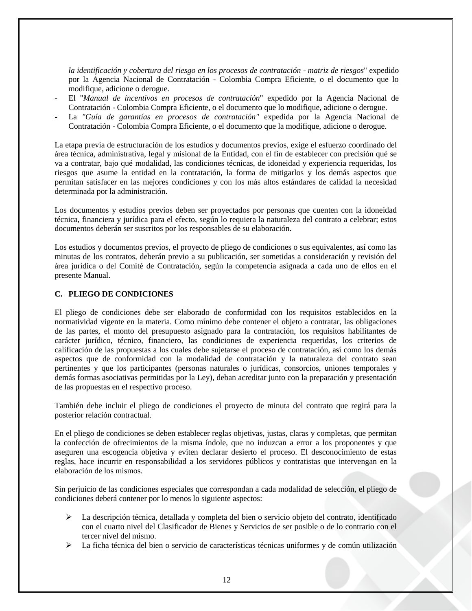*la identificación y cobertura del riesgo en los procesos de contratación - matriz de riesgos*" expedido por la Agencia Nacional de Contratación - Colombia Compra Eficiente, o el documento que lo modifique, adicione o derogue.

- El "*Manual de incentivos en procesos de contratación*" expedido por la Agencia Nacional de Contratación - Colombia Compra Eficiente, o el documento que lo modifique, adicione o derogue.
- La *"Guía de garantías en procesos de contratación"* expedida por la Agencia Nacional de Contratación - Colombia Compra Eficiente, o el documento que la modifique, adicione o derogue.

La etapa previa de estructuración de los estudios y documentos previos, exige el esfuerzo coordinado del área técnica, administrativa, legal y misional de la Entidad, con el fin de establecer con precisión qué se va a contratar, bajo qué modalidad, las condiciones técnicas, de idoneidad y experiencia requeridas, los riesgos que asume la entidad en la contratación, la forma de mitigarlos y los demás aspectos que permitan satisfacer en las mejores condiciones y con los más altos estándares de calidad la necesidad determinada por la administración.

Los documentos y estudios previos deben ser proyectados por personas que cuenten con la idoneidad técnica, financiera y jurídica para el efecto, según lo requiera la naturaleza del contrato a celebrar; estos documentos deberán ser suscritos por los responsables de su elaboración.

Los estudios y documentos previos, el proyecto de pliego de condiciones o sus equivalentes, así como las minutas de los contratos, deberán previo a su publicación, ser sometidas a consideración y revisión del área jurídica o del Comité de Contratación, según la competencia asignada a cada uno de ellos en el presente Manual.

## <span id="page-11-0"></span>**C. PLIEGO DE CONDICIONES**

El pliego de condiciones debe ser elaborado de conformidad con los requisitos establecidos en la normatividad vigente en la materia. Como mínimo debe contener el objeto a contratar, las obligaciones de las partes, el monto del presupuesto asignado para la contratación, los requisitos habilitantes de carácter jurídico, técnico, financiero, las condiciones de experiencia requeridas, los criterios de calificación de las propuestas a los cuales debe sujetarse el proceso de contratación, así como los demás aspectos que de conformidad con la modalidad de contratación y la naturaleza del contrato sean pertinentes y que los participantes (personas naturales o jurídicas, consorcios, uniones temporales y demás formas asociativas permitidas por la Ley), deban acreditar junto con la preparación y presentación de las propuestas en el respectivo proceso.

También debe incluir el pliego de condiciones el proyecto de minuta del contrato que regirá para la posterior relación contractual.

En el pliego de condiciones se deben establecer reglas objetivas, justas, claras y completas, que permitan la confección de ofrecimientos de la misma índole, que no induzcan a error a los proponentes y que aseguren una escogencia objetiva y eviten declarar desierto el proceso. El desconocimiento de estas reglas, hace incurrir en responsabilidad a los servidores públicos y contratistas que intervengan en la elaboración de los mismos.

Sin perjuicio de las condiciones especiales que correspondan a cada modalidad de selección, el pliego de condiciones deberá contener por lo menos lo siguiente aspectos:

- $\triangleright$  La descripción técnica, detallada y completa del bien o servicio objeto del contrato, identificado con el cuarto nivel del Clasificador de Bienes y Servicios de ser posible o de lo contrario con el tercer nivel del mismo.
- La ficha técnica del bien o servicio de características técnicas uniformes y de común utilización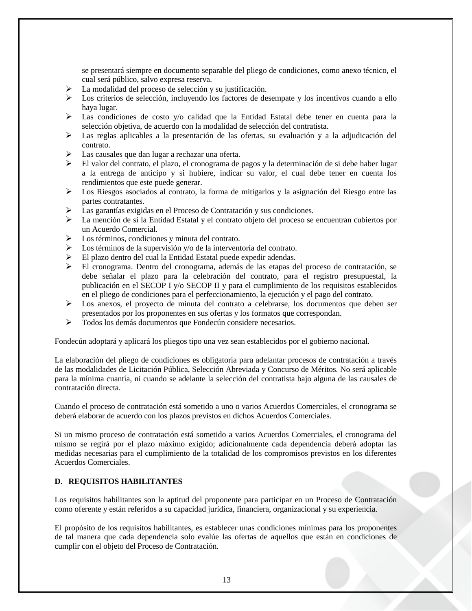se presentará siempre en documento separable del pliego de condiciones, como anexo técnico, el cual será público, salvo expresa reserva.

- La modalidad del proceso de selección y su justificación.
- Los criterios de selección, incluyendo los factores de desempate y los incentivos cuando a ello haya lugar.
- $\triangleright$  Las condiciones de costo y/o calidad que la Entidad Estatal debe tener en cuenta para la selección objetiva, de acuerdo con la modalidad de selección del contratista.
- Las reglas aplicables a la presentación de las ofertas, su evaluación y a la adjudicación del contrato.
- Las causales que dan lugar a rechazar una oferta.
- El valor del contrato, el plazo, el cronograma de pagos y la determinación de si debe haber lugar a la entrega de anticipo y si hubiere, indicar su valor, el cual debe tener en cuenta los rendimientos que este puede generar.
- Los Riesgos asociados al contrato, la forma de mitigarlos y la asignación del Riesgo entre las partes contratantes.
- Las garantías exigidas en el Proceso de Contratación y sus condiciones.
- La mención de si la Entidad Estatal y el contrato objeto del proceso se encuentran cubiertos por un Acuerdo Comercial.
- $\triangleright$  Los términos, condiciones y minuta del contrato.
- Los términos de la supervisión y/o de la interventoría del contrato.
- El plazo dentro del cual la Entidad Estatal puede expedir adendas.
- El cronograma. Dentro del cronograma, además de las etapas del proceso de contratación, se debe señalar el plazo para la celebración del contrato, para el registro presupuestal, la publicación en el SECOP I y/o SECOP II y para el cumplimiento de los requisitos establecidos en el pliego de condiciones para el perfeccionamiento, la ejecución y el pago del contrato.
- $\triangleright$  Los anexos, el proyecto de minuta del contrato a celebrarse, los documentos que deben ser presentados por los proponentes en sus ofertas y los formatos que correspondan.
- $\triangleright$  Todos los demás documentos que Fondecún considere necesarios.

Fondecún adoptará y aplicará los pliegos tipo una vez sean establecidos por el gobierno nacional.

La elaboración del pliego de condiciones es obligatoria para adelantar procesos de contratación a través de las modalidades de Licitación Pública, Selección Abreviada y Concurso de Méritos. No será aplicable para la mínima cuantía, ni cuando se adelante la selección del contratista bajo alguna de las causales de contratación directa.

Cuando el proceso de contratación está sometido a uno o varios Acuerdos Comerciales, el cronograma se deberá elaborar de acuerdo con los plazos previstos en dichos Acuerdos Comerciales.

Si un mismo proceso de contratación está sometido a varios Acuerdos Comerciales, el cronograma del mismo se regirá por el plazo máximo exigido; adicionalmente cada dependencia deberá adoptar las medidas necesarias para el cumplimiento de la totalidad de los compromisos previstos en los diferentes Acuerdos Comerciales.

#### <span id="page-12-0"></span>**D. REQUISITOS HABILITANTES**

Los requisitos habilitantes son la aptitud del proponente para participar en un Proceso de Contratación como oferente y están referidos a su capacidad jurídica, financiera, organizacional y su experiencia.

El propósito de los requisitos habilitantes, es establecer unas condiciones mínimas para los proponentes de tal manera que cada dependencia solo evalúe las ofertas de aquellos que están en condiciones de cumplir con el objeto del Proceso de Contratación.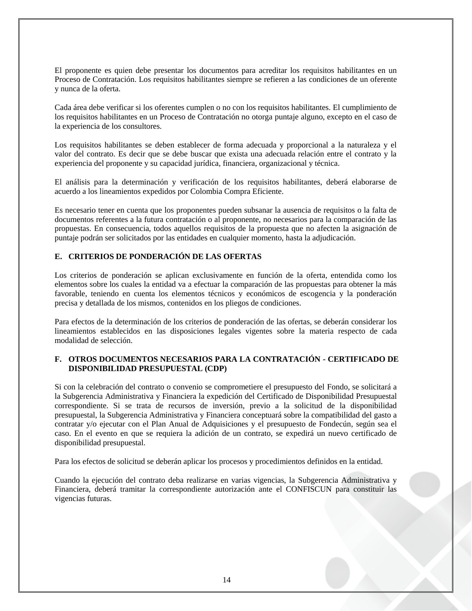El proponente es quien debe presentar los documentos para acreditar los requisitos habilitantes en un Proceso de Contratación. Los requisitos habilitantes siempre se refieren a las condiciones de un oferente y nunca de la oferta.

Cada área debe verificar si los oferentes cumplen o no con los requisitos habilitantes. El cumplimiento de los requisitos habilitantes en un Proceso de Contratación no otorga puntaje alguno, excepto en el caso de la experiencia de los consultores.

Los requisitos habilitantes se deben establecer de forma adecuada y proporcional a la naturaleza y el valor del contrato. Es decir que se debe buscar que exista una adecuada relación entre el contrato y la experiencia del proponente y su capacidad jurídica, financiera, organizacional y técnica.

El análisis para la determinación y verificación de los requisitos habilitantes, deberá elaborarse de acuerdo a los lineamientos expedidos por Colombia Compra Eficiente.

Es necesario tener en cuenta que los proponentes pueden subsanar la ausencia de requisitos o la falta de documentos referentes a la futura contratación o al proponente, no necesarios para la comparación de las propuestas. En consecuencia, todos aquellos requisitos de la propuesta que no afecten la asignación de puntaje podrán ser solicitados por las entidades en cualquier momento, hasta la adjudicación.

## <span id="page-13-0"></span>**E. CRITERIOS DE PONDERACIÓN DE LAS OFERTAS**

Los criterios de ponderación se aplican exclusivamente en función de la oferta, entendida como los elementos sobre los cuales la entidad va a efectuar la comparación de las propuestas para obtener la más favorable, teniendo en cuenta los elementos técnicos y económicos de escogencia y la ponderación precisa y detallada de los mismos, contenidos en los pliegos de condiciones.

Para efectos de la determinación de los criterios de ponderación de las ofertas, se deberán considerar los lineamientos establecidos en las disposiciones legales vigentes sobre la materia respecto de cada modalidad de selección.

#### <span id="page-13-1"></span>**F. OTROS DOCUMENTOS NECESARIOS PARA LA CONTRATACIÓN - CERTIFICADO DE DISPONIBILIDAD PRESUPUESTAL (CDP)**

Si con la celebración del contrato o convenio se comprometiere el presupuesto del Fondo, se solicitará a la Subgerencia Administrativa y Financiera la expedición del Certificado de Disponibilidad Presupuestal correspondiente. Si se trata de recursos de inversión, previo a la solicitud de la disponibilidad presupuestal, la Subgerencia Administrativa y Financiera conceptuará sobre la compatibilidad del gasto a contratar y/o ejecutar con el Plan Anual de Adquisiciones y el presupuesto de Fondecún, según sea el caso. En el evento en que se requiera la adición de un contrato, se expedirá un nuevo certificado de disponibilidad presupuestal.

Para los efectos de solicitud se deberán aplicar los procesos y procedimientos definidos en la entidad.

Cuando la ejecución del contrato deba realizarse en varias vigencias, la Subgerencia Administrativa y Financiera, deberá tramitar la correspondiente autorización ante el CONFISCUN para constituir las vigencias futuras.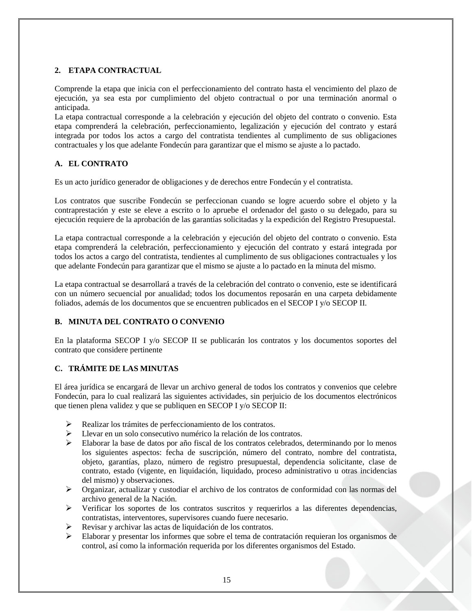# <span id="page-14-0"></span>**2. ETAPA CONTRACTUAL**

Comprende la etapa que inicia con el perfeccionamiento del contrato hasta el vencimiento del plazo de ejecución, ya sea esta por cumplimiento del objeto contractual o por una terminación anormal o anticipada.

La etapa contractual corresponde a la celebración y ejecución del objeto del contrato o convenio. Esta etapa comprenderá la celebración, perfeccionamiento, legalización y ejecución del contrato y estará integrada por todos los actos a cargo del contratista tendientes al cumplimento de sus obligaciones contractuales y los que adelante Fondecún para garantizar que el mismo se ajuste a lo pactado.

## <span id="page-14-1"></span>**A. EL CONTRATO**

Es un acto jurídico generador de obligaciones y de derechos entre Fondecún y el contratista.

Los contratos que suscribe Fondecún se perfeccionan cuando se logre acuerdo sobre el objeto y la contraprestación y este se eleve a escrito o lo apruebe el ordenador del gasto o su delegado, para su ejecución requiere de la aprobación de las garantías solicitadas y la expedición del Registro Presupuestal.

La etapa contractual corresponde a la celebración y ejecución del objeto del contrato o convenio. Esta etapa comprenderá la celebración, perfeccionamiento y ejecución del contrato y estará integrada por todos los actos a cargo del contratista, tendientes al cumplimento de sus obligaciones contractuales y los que adelante Fondecún para garantizar que el mismo se ajuste a lo pactado en la minuta del mismo.

La etapa contractual se desarrollará a través de la celebración del contrato o convenio, este se identificará con un número secuencial por anualidad; todos los documentos reposarán en una carpeta debidamente foliados, además de los documentos que se encuentren publicados en el SECOP I y/o SECOP II.

## <span id="page-14-2"></span>**B. MINUTA DEL CONTRATO O CONVENIO**

En la plataforma SECOP I y/o SECOP II se publicarán los contratos y los documentos soportes del contrato que considere pertinente

# <span id="page-14-3"></span>**C. TRÁMITE DE LAS MINUTAS**

El área jurídica se encargará de llevar un archivo general de todos los contratos y convenios que celebre Fondecún, para lo cual realizará las siguientes actividades, sin perjuicio de los documentos electrónicos que tienen plena validez y que se publiquen en SECOP I y/o SECOP II:

- Realizar los trámites de perfeccionamiento de los contratos.
- Llevar en un solo consecutivo numérico la relación de los contratos.
- $\triangleright$  Elaborar la base de datos por año fiscal de los contratos celebrados, determinando por lo menos los siguientes aspectos: fecha de suscripción, número del contrato, nombre del contratista, objeto, garantías, plazo, número de registro presupuestal, dependencia solicitante, clase de contrato, estado (vigente, en liquidación, liquidado, proceso administrativo u otras incidencias del mismo) y observaciones.
- Organizar, actualizar y custodiar el archivo de los contratos de conformidad con las normas del archivo general de la Nación.
- Verificar los soportes de los contratos suscritos y requerirlos a las diferentes dependencias, contratistas, interventores, supervisores cuando fuere necesario.
- Revisar y archivar las actas de liquidación de los contratos.
- Elaborar y presentar los informes que sobre el tema de contratación requieran los organismos de control, así como la información requerida por los diferentes organismos del Estado.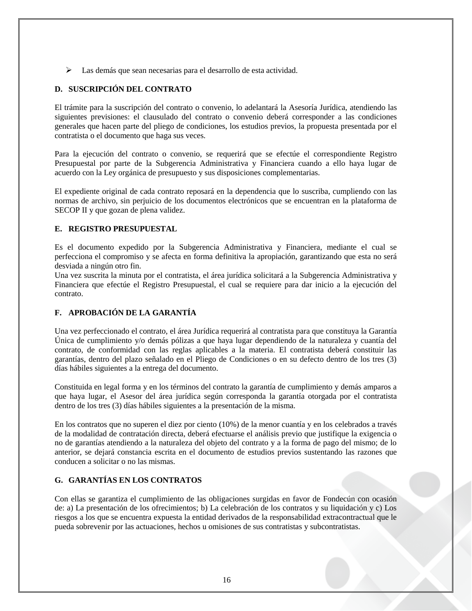Las demás que sean necesarias para el desarrollo de esta actividad.

# <span id="page-15-0"></span>**D. SUSCRIPCIÓN DEL CONTRATO**

El trámite para la suscripción del contrato o convenio, lo adelantará la Asesoría Jurídica, atendiendo las siguientes previsiones: el clausulado del contrato o convenio deberá corresponder a las condiciones generales que hacen parte del pliego de condiciones, los estudios previos, la propuesta presentada por el contratista o el documento que haga sus veces.

Para la ejecución del contrato o convenio, se requerirá que se efectúe el correspondiente Registro Presupuestal por parte de la Subgerencia Administrativa y Financiera cuando a ello haya lugar de acuerdo con la Ley orgánica de presupuesto y sus disposiciones complementarias.

El expediente original de cada contrato reposará en la dependencia que lo suscriba, cumpliendo con las normas de archivo, sin perjuicio de los documentos electrónicos que se encuentran en la plataforma de SECOP II y que gozan de plena validez.

## <span id="page-15-1"></span>**E. REGISTRO PRESUPUESTAL**

Es el documento expedido por la Subgerencia Administrativa y Financiera, mediante el cual se perfecciona el compromiso y se afecta en forma definitiva la apropiación, garantizando que esta no será desviada a ningún otro fin.

Una vez suscrita la minuta por el contratista, el área jurídica solicitará a la Subgerencia Administrativa y Financiera que efectúe el Registro Presupuestal, el cual se requiere para dar inicio a la ejecución del contrato.

# <span id="page-15-2"></span>**F. APROBACIÓN DE LA GARANTÍA**

Una vez perfeccionado el contrato, el área Jurídica requerirá al contratista para que constituya la Garantía Única de cumplimiento y/o demás pólizas a que haya lugar dependiendo de la naturaleza y cuantía del contrato, de conformidad con las reglas aplicables a la materia. El contratista deberá constituir las garantías, dentro del plazo señalado en el Pliego de Condiciones o en su defecto dentro de los tres (3) días hábiles siguientes a la entrega del documento.

Constituida en legal forma y en los términos del contrato la garantía de cumplimiento y demás amparos a que haya lugar, el Asesor del área jurídica según corresponda la garantía otorgada por el contratista dentro de los tres (3) días hábiles siguientes a la presentación de la misma.

En los contratos que no superen el diez por ciento (10%) de la menor cuantía y en los celebrados a través de la modalidad de contratación directa, deberá efectuarse el análisis previo que justifique la exigencia o no de garantías atendiendo a la naturaleza del objeto del contrato y a la forma de pago del mismo; de lo anterior, se dejará constancia escrita en el documento de estudios previos sustentando las razones que conducen a solicitar o no las mismas.

# <span id="page-15-3"></span>**G. GARANTÍAS EN LOS CONTRATOS**

Con ellas se garantiza el cumplimiento de las obligaciones surgidas en favor de Fondecún con ocasión de: a) La presentación de los ofrecimientos; b) La celebración de los contratos y su liquidación y c) Los riesgos a los que se encuentra expuesta la entidad derivados de la responsabilidad extracontractual que le pueda sobrevenir por las actuaciones, hechos u omisiones de sus contratistas y subcontratistas.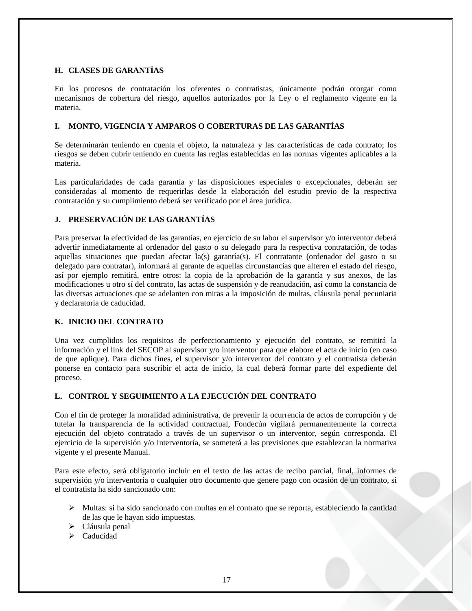## <span id="page-16-0"></span>**H. CLASES DE GARANTÍAS**

En los procesos de contratación los oferentes o contratistas, únicamente podrán otorgar como mecanismos de cobertura del riesgo, aquellos autorizados por la Ley o el reglamento vigente en la materia.

## <span id="page-16-1"></span>**I. MONTO, VIGENCIA Y AMPAROS O COBERTURAS DE LAS GARANTÍAS**

Se determinarán teniendo en cuenta el objeto, la naturaleza y las características de cada contrato; los riesgos se deben cubrir teniendo en cuenta las reglas establecidas en las normas vigentes aplicables a la materia.

Las particularidades de cada garantía y las disposiciones especiales o excepcionales, deberán ser consideradas al momento de requerirlas desde la elaboración del estudio previo de la respectiva contratación y su cumplimiento deberá ser verificado por el área jurídica.

# <span id="page-16-2"></span>**J. PRESERVACIÓN DE LAS GARANTÍAS**

Para preservar la efectividad de las garantías, en ejercicio de su labor el supervisor y/o interventor deberá advertir inmediatamente al ordenador del gasto o su delegado para la respectiva contratación, de todas aquellas situaciones que puedan afectar la(s) garantía(s). El contratante (ordenador del gasto o su delegado para contratar), informará al garante de aquellas circunstancias que alteren el estado del riesgo, así por ejemplo remitirá, entre otros: la copia de la aprobación de la garantía y sus anexos, de las modificaciones u otro sí del contrato, las actas de suspensión y de reanudación, así como la constancia de las diversas actuaciones que se adelanten con miras a la imposición de multas, cláusula penal pecuniaria y declaratoria de caducidad.

## <span id="page-16-3"></span>**K. INICIO DEL CONTRATO**

Una vez cumplidos los requisitos de perfeccionamiento y ejecución del contrato, se remitirá la información y el link del SECOP al supervisor y/o interventor para que elabore el acta de inicio (en caso de que aplique). Para dichos fines, el supervisor y/o interventor del contrato y el contratista deberán ponerse en contacto para suscribir el acta de inicio, la cual deberá formar parte del expediente del proceso.

# <span id="page-16-4"></span>**L. CONTROL Y SEGUIMIENTO A LA EJECUCIÓN DEL CONTRATO**

Con el fin de proteger la moralidad administrativa, de prevenir la ocurrencia de actos de corrupción y de tutelar la transparencia de la actividad contractual, Fondecún vigilará permanentemente la correcta ejecución del objeto contratado a través de un supervisor o un interventor, según corresponda. El ejercicio de la supervisión y/o Interventoría, se someterá a las previsiones que establezcan la normativa vigente y el presente Manual.

Para este efecto, será obligatorio incluir en el texto de las actas de recibo parcial, final, informes de supervisión y/o interventoría o cualquier otro documento que genere pago con ocasión de un contrato, si el contratista ha sido sancionado con:

- Multas: si ha sido sancionado con multas en el contrato que se reporta, estableciendo la cantidad de las que le hayan sido impuestas.
- > Cláusula penal
- $\triangleright$  Caducidad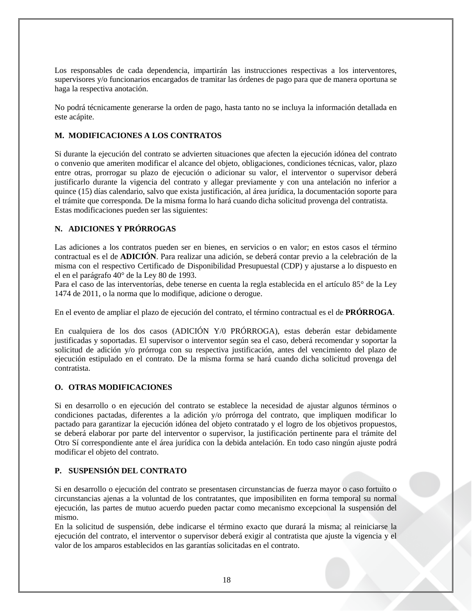Los responsables de cada dependencia, impartirán las instrucciones respectivas a los interventores, supervisores y/o funcionarios encargados de tramitar las órdenes de pago para que de manera oportuna se haga la respectiva anotación.

No podrá técnicamente generarse la orden de pago, hasta tanto no se incluya la información detallada en este acápite.

## <span id="page-17-0"></span>**M. MODIFICACIONES A LOS CONTRATOS**

Si durante la ejecución del contrato se advierten situaciones que afecten la ejecución idónea del contrato o convenio que ameriten modificar el alcance del objeto, obligaciones, condiciones técnicas, valor, plazo entre otras, prorrogar su plazo de ejecución o adicionar su valor, el interventor o supervisor deberá justificarlo durante la vigencia del contrato y allegar previamente y con una antelación no inferior a quince (15) días calendario, salvo que exista justificación, al área jurídica, la documentación soporte para el trámite que corresponda. De la misma forma lo hará cuando dicha solicitud provenga del contratista. Estas modificaciones pueden ser las siguientes:

## <span id="page-17-1"></span>**N. ADICIONES Y PRÓRROGAS**

Las adiciones a los contratos pueden ser en bienes, en servicios o en valor; en estos casos el término contractual es el de **ADICIÓN**. Para realizar una adición, se deberá contar previo a la celebración de la misma con el respectivo Certificado de Disponibilidad Presupuestal (CDP) y ajustarse a lo dispuesto en el en el parágrafo 40° de la Ley 80 de 1993.

Para el caso de las interventorías, debe tenerse en cuenta la regla establecida en el artículo 85° de la Ley 1474 de 2011, o la norma que lo modifique, adicione o derogue.

En el evento de ampliar el plazo de ejecución del contrato, el término contractual es el de **PRÓRROGA**.

En cualquiera de los dos casos (ADICIÓN Y/0 PRÓRROGA), estas deberán estar debidamente justificadas y soportadas. El supervisor o interventor según sea el caso, deberá recomendar y soportar la solicitud de adición y/o prórroga con su respectiva justificación, antes del vencimiento del plazo de ejecución estipulado en el contrato. De la misma forma se hará cuando dicha solicitud provenga del contratista.

## <span id="page-17-2"></span>**O. OTRAS MODIFICACIONES**

Si en desarrollo o en ejecución del contrato se establece la necesidad de ajustar algunos términos o condiciones pactadas, diferentes a la adición y/o prórroga del contrato, que impliquen modificar lo pactado para garantizar la ejecución idónea del objeto contratado y el logro de los objetivos propuestos, se deberá elaborar por parte del interventor o supervisor, la justificación pertinente para el trámite del Otro Sí correspondiente ante el área jurídica con la debida antelación. En todo caso ningún ajuste podrá modificar el objeto del contrato.

## <span id="page-17-3"></span>**P. SUSPENSIÓN DEL CONTRATO**

Si en desarrollo o ejecución del contrato se presentasen circunstancias de fuerza mayor o caso fortuito o circunstancias ajenas a la voluntad de los contratantes, que imposibiliten en forma temporal su normal ejecución, las partes de mutuo acuerdo pueden pactar como mecanismo excepcional la suspensión del mismo.

En la solicitud de suspensión, debe indicarse el término exacto que durará la misma; al reiniciarse la ejecución del contrato, el interventor o supervisor deberá exigir al contratista que ajuste la vigencia y el valor de los amparos establecidos en las garantías solicitadas en el contrato.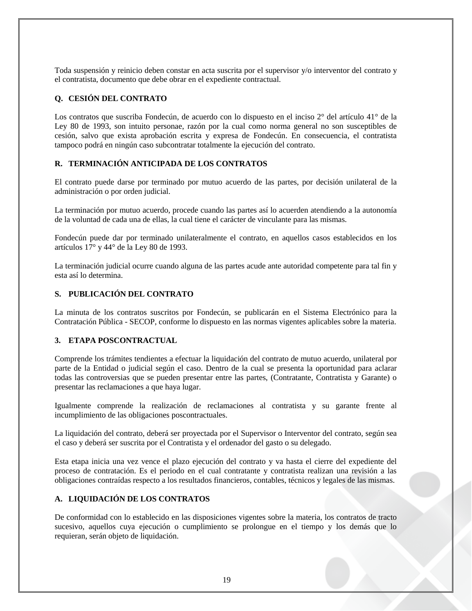Toda suspensión y reinicio deben constar en acta suscrita por el supervisor y/o interventor del contrato y el contratista, documento que debe obrar en el expediente contractual.

## <span id="page-18-0"></span>**Q. CESIÓN DEL CONTRATO**

Los contratos que suscriba Fondecún, de acuerdo con lo dispuesto en el inciso 2° del artículo 41° de la Ley 80 de 1993, son intuito personae, razón por la cual como norma general no son susceptibles de cesión, salvo que exista aprobación escrita y expresa de Fondecún. En consecuencia, el contratista tampoco podrá en ningún caso subcontratar totalmente la ejecución del contrato.

## <span id="page-18-1"></span>**R. TERMINACIÓN ANTICIPADA DE LOS CONTRATOS**

El contrato puede darse por terminado por mutuo acuerdo de las partes, por decisión unilateral de la administración o por orden judicial.

La terminación por mutuo acuerdo, procede cuando las partes así lo acuerden atendiendo a la autonomía de la voluntad de cada una de ellas, la cual tiene el carácter de vinculante para las mismas.

Fondecún puede dar por terminado unilateralmente el contrato, en aquellos casos establecidos en los artículos 17° y 44° de la Ley 80 de 1993.

La terminación judicial ocurre cuando alguna de las partes acude ante autoridad competente para tal fin y esta así lo determina.

#### <span id="page-18-2"></span>**S. PUBLICACIÓN DEL CONTRATO**

La minuta de los contratos suscritos por Fondecún, se publicarán en el Sistema Electrónico para la Contratación Pública - SECOP, conforme lo dispuesto en las normas vigentes aplicables sobre la materia.

## <span id="page-18-3"></span>**3. ETAPA POSCONTRACTUAL**

Comprende los trámites tendientes a efectuar la liquidación del contrato de mutuo acuerdo, unilateral por parte de la Entidad o judicial según el caso. Dentro de la cual se presenta la oportunidad para aclarar todas las controversias que se pueden presentar entre las partes, (Contratante, Contratista y Garante) o presentar las reclamaciones a que haya lugar.

Igualmente comprende la realización de reclamaciones al contratista y su garante frente al incumplimiento de las obligaciones poscontractuales.

La liquidación del contrato, deberá ser proyectada por el Supervisor o Interventor del contrato, según sea el caso y deberá ser suscrita por el Contratista y el ordenador del gasto o su delegado.

Esta etapa inicia una vez vence el plazo ejecución del contrato y va hasta el cierre del expediente del proceso de contratación. Es el periodo en el cual contratante y contratista realizan una revisión a las obligaciones contraídas respecto a los resultados financieros, contables, técnicos y legales de las mismas.

## <span id="page-18-4"></span>**A. LIQUIDACIÓN DE LOS CONTRATOS**

De conformidad con lo establecido en las disposiciones vigentes sobre la materia, los contratos de tracto sucesivo, aquellos cuya ejecución o cumplimiento se prolongue en el tiempo y los demás que lo requieran, serán objeto de liquidación.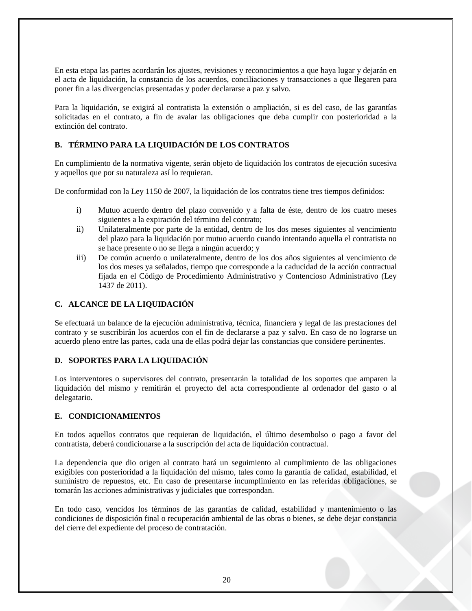En esta etapa las partes acordarán los ajustes, revisiones y reconocimientos a que haya lugar y dejarán en el acta de liquidación, la constancia de los acuerdos, conciliaciones y transacciones a que llegaren para poner fin a las divergencias presentadas y poder declararse a paz y salvo.

Para la liquidación, se exigirá al contratista la extensión o ampliación, si es del caso, de las garantías solicitadas en el contrato, a fin de avalar las obligaciones que deba cumplir con posterioridad a la extinción del contrato.

## <span id="page-19-0"></span>**B. TÉRMINO PARA LA LIQUIDACIÓN DE LOS CONTRATOS**

En cumplimiento de la normativa vigente, serán objeto de liquidación los contratos de ejecución sucesiva y aquellos que por su naturaleza así lo requieran.

De conformidad con la Ley 1150 de 2007, la liquidación de los contratos tiene tres tiempos definidos:

- i) Mutuo acuerdo dentro del plazo convenido y a falta de éste, dentro de los cuatro meses siguientes a la expiración del término del contrato;
- ii) Unilateralmente por parte de la entidad, dentro de los dos meses siguientes al vencimiento del plazo para la liquidación por mutuo acuerdo cuando intentando aquella el contratista no se hace presente o no se llega a ningún acuerdo; y
- iii) De común acuerdo o unilateralmente, dentro de los dos años siguientes al vencimiento de los dos meses ya señalados, tiempo que corresponde a la caducidad de la acción contractual fijada en el Código de Procedimiento Administrativo y Contencioso Administrativo (Ley 1437 de 2011).

## <span id="page-19-1"></span>**C. ALCANCE DE LA LIQUIDACIÓN**

Se efectuará un balance de la ejecución administrativa, técnica, financiera y legal de las prestaciones del contrato y se suscribirán los acuerdos con el fin de declararse a paz y salvo. En caso de no lograrse un acuerdo pleno entre las partes, cada una de ellas podrá dejar las constancias que considere pertinentes.

## <span id="page-19-2"></span>**D. SOPORTES PARA LA LIQUIDACIÓN**

Los interventores o supervisores del contrato, presentarán la totalidad de los soportes que amparen la liquidación del mismo y remitirán el proyecto del acta correspondiente al ordenador del gasto o al delegatario.

## <span id="page-19-3"></span>**E. CONDICIONAMIENTOS**

En todos aquellos contratos que requieran de liquidación, el último desembolso o pago a favor del contratista, deberá condicionarse a la suscripción del acta de liquidación contractual.

La dependencia que dio origen al contrato hará un seguimiento al cumplimiento de las obligaciones exigibles con posterioridad a la liquidación del mismo, tales como la garantía de calidad, estabilidad, el suministro de repuestos, etc. En caso de presentarse incumplimiento en las referidas obligaciones, se tomarán las acciones administrativas y judiciales que correspondan.

En todo caso, vencidos los términos de las garantías de calidad, estabilidad y mantenimiento o las condiciones de disposición final o recuperación ambiental de las obras o bienes, se debe dejar constancia del cierre del expediente del proceso de contratación.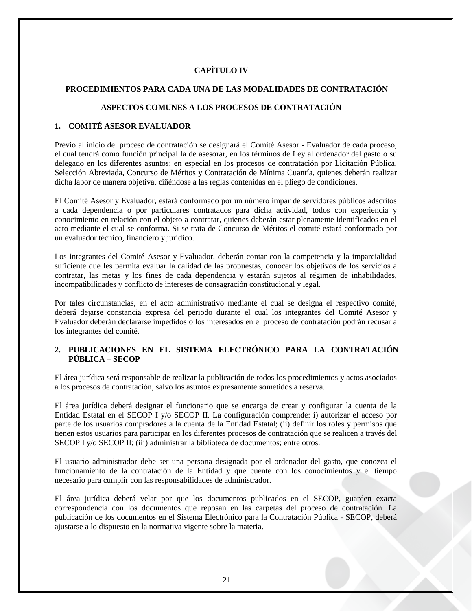# **CAPÍTULO IV**

#### <span id="page-20-1"></span><span id="page-20-0"></span>**PROCEDIMIENTOS PARA CADA UNA DE LAS MODALIDADES DE CONTRATACIÓN**

## **ASPECTOS COMUNES A LOS PROCESOS DE CONTRATACIÓN**

## <span id="page-20-3"></span><span id="page-20-2"></span>**1. COMITÉ ASESOR EVALUADOR**

Previo al inicio del proceso de contratación se designará el Comité Asesor - Evaluador de cada proceso, el cual tendrá como función principal la de asesorar, en los términos de Ley al ordenador del gasto o su delegado en los diferentes asuntos; en especial en los procesos de contratación por Licitación Pública, Selección Abreviada, Concurso de Méritos y Contratación de Mínima Cuantía, quienes deberán realizar dicha labor de manera objetiva, ciñéndose a las reglas contenidas en el pliego de condiciones.

El Comité Asesor y Evaluador, estará conformado por un número impar de servidores públicos adscritos a cada dependencia o por particulares contratados para dicha actividad, todos con experiencia y conocimiento en relación con el objeto a contratar, quienes deberán estar plenamente identificados en el acto mediante el cual se conforma. Si se trata de Concurso de Méritos el comité estará conformado por un evaluador técnico, financiero y jurídico.

Los integrantes del Comité Asesor y Evaluador, deberán contar con la competencia y la imparcialidad suficiente que les permita evaluar la calidad de las propuestas, conocer los objetivos de los servicios a contratar, las metas y los fines de cada dependencia y estarán sujetos al régimen de inhabilidades, incompatibilidades y conflicto de intereses de consagración constitucional y legal.

Por tales circunstancias, en el acto administrativo mediante el cual se designa el respectivo comité, deberá dejarse constancia expresa del periodo durante el cual los integrantes del Comité Asesor y Evaluador deberán declararse impedidos o los interesados en el proceso de contratación podrán recusar a los integrantes del comité.

## <span id="page-20-4"></span>**2. PUBLICACIONES EN EL SISTEMA ELECTRÓNICO PARA LA CONTRATACIÓN PÚBLICA – SECOP**

El área jurídica será responsable de realizar la publicación de todos los procedimientos y actos asociados a los procesos de contratación, salvo los asuntos expresamente sometidos a reserva.

El área jurídica deberá designar el funcionario que se encarga de crear y configurar la cuenta de la Entidad Estatal en el SECOP I y/o SECOP II. La configuración comprende: i) autorizar el acceso por parte de los usuarios compradores a la cuenta de la Entidad Estatal; (ii) definir los roles y permisos que tienen estos usuarios para participar en los diferentes procesos de contratación que se realicen a través del SECOP I y/o SECOP II; (iii) administrar la biblioteca de documentos; entre otros.

El usuario administrador debe ser una persona designada por el ordenador del gasto, que conozca el funcionamiento de la contratación de la Entidad y que cuente con los conocimientos y el tiempo necesario para cumplir con las responsabilidades de administrador.

El área jurídica deberá velar por que los documentos publicados en el SECOP, guarden exacta correspondencia con los documentos que reposan en las carpetas del proceso de contratación. La publicación de los documentos en el Sistema Electrónico para la Contratación Pública - SECOP, deberá ajustarse a lo dispuesto en la normativa vigente sobre la materia.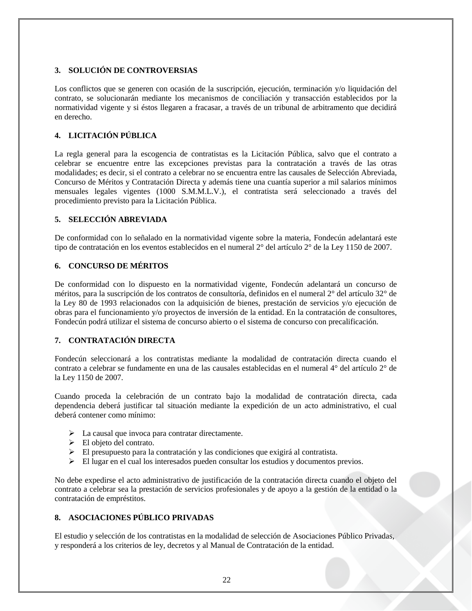# <span id="page-21-0"></span>**3. SOLUCIÓN DE CONTROVERSIAS**

Los conflictos que se generen con ocasión de la suscripción, ejecución, terminación y/o liquidación del contrato, se solucionarán mediante los mecanismos de conciliación y transacción establecidos por la normatividad vigente y si éstos llegaren a fracasar, a través de un tribunal de arbitramento que decidirá en derecho.

# <span id="page-21-1"></span>**4. LICITACIÓN PÚBLICA**

La regla general para la escogencia de contratistas es la Licitación Pública, salvo que el contrato a celebrar se encuentre entre las excepciones previstas para la contratación a través de las otras modalidades; es decir, si el contrato a celebrar no se encuentra entre las causales de Selección Abreviada, Concurso de Méritos y Contratación Directa y además tiene una cuantía superior a mil salarios mínimos mensuales legales vigentes (1000 S.M.M.L.V.), el contratista será seleccionado a través del procedimiento previsto para la Licitación Pública.

## <span id="page-21-2"></span>**5. SELECCIÓN ABREVIADA**

De conformidad con lo señalado en la normatividad vigente sobre la materia, Fondecún adelantará este tipo de contratación en los eventos establecidos en el numeral 2° del artículo 2° de la Ley 1150 de 2007.

# <span id="page-21-3"></span>**6. CONCURSO DE MÉRITOS**

De conformidad con lo dispuesto en la normatividad vigente, Fondecún adelantará un concurso de méritos, para la suscripción de los contratos de consultoría, definidos en el numeral 2° del artículo 32° de la Ley 80 de 1993 relacionados con la adquisición de bienes, prestación de servicios y/o ejecución de obras para el funcionamiento y/o proyectos de inversión de la entidad. En la contratación de consultores, Fondecún podrá utilizar el sistema de concurso abierto o el sistema de concurso con precalificación.

# <span id="page-21-4"></span>**7. CONTRATACIÓN DIRECTA**

Fondecún seleccionará a los contratistas mediante la modalidad de contratación directa cuando el contrato a celebrar se fundamente en una de las causales establecidas en el numeral 4° del artículo 2° de la Ley 1150 de 2007.

Cuando proceda la celebración de un contrato bajo la modalidad de contratación directa, cada dependencia deberá justificar tal situación mediante la expedición de un acto administrativo, el cual deberá contener como mínimo:

- > La causal que invoca para contratar directamente.
- $\triangleright$  El objeto del contrato.
- El presupuesto para la contratación y las condiciones que exigirá al contratista.
- El lugar en el cual los interesados pueden consultar los estudios y documentos previos.

No debe expedirse el acto administrativo de justificación de la contratación directa cuando el objeto del contrato a celebrar sea la prestación de servicios profesionales y de apoyo a la gestión de la entidad o la contratación de empréstitos.

# <span id="page-21-5"></span>**8. ASOCIACIONES PÚBLICO PRIVADAS**

El estudio y selección de los contratistas en la modalidad de selección de Asociaciones Público Privadas, y responderá a los criterios de ley, decretos y al Manual de Contratación de la entidad.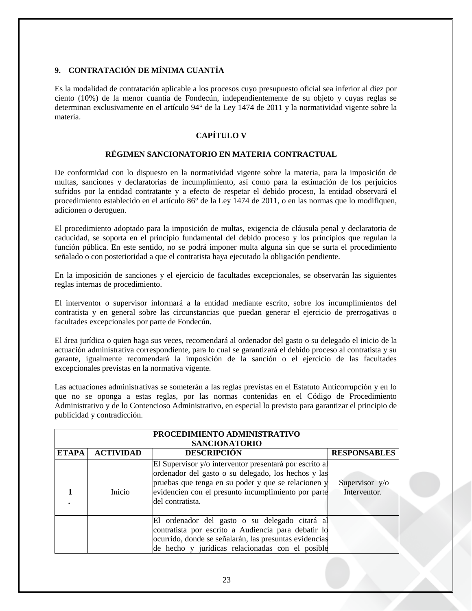# <span id="page-22-0"></span>**9. CONTRATACIÓN DE MÍNIMA CUANTÍA**

Es la modalidad de contratación aplicable a los procesos cuyo presupuesto oficial sea inferior al diez por ciento (10%) de la menor cuantía de Fondecún, independientemente de su objeto y cuyas reglas se determinan exclusivamente en el artículo 94° de la Ley 1474 de 2011 y la normatividad vigente sobre la materia.

# **CAPÍTULO V**

## **RÉGIMEN SANCIONATORIO EN MATERIA CONTRACTUAL**

<span id="page-22-2"></span><span id="page-22-1"></span>De conformidad con lo dispuesto en la normatividad vigente sobre la materia, para la imposición de multas, sanciones y declaratorias de incumplimiento, así como para la estimación de los perjuicios sufridos por la entidad contratante y a efecto de respetar el debido proceso, la entidad observará el procedimiento establecido en el artículo 86° de la Ley 1474 de 2011, o en las normas que lo modifiquen, adicionen o deroguen.

El procedimiento adoptado para la imposición de multas, exigencia de cláusula penal y declaratoria de caducidad, se soporta en el principio fundamental del debido proceso y los principios que regulan la función pública. En este sentido, no se podrá imponer multa alguna sin que se surta el procedimiento señalado o con posterioridad a que el contratista haya ejecutado la obligación pendiente.

En la imposición de sanciones y el ejercicio de facultades excepcionales, se observarán las siguientes reglas internas de procedimiento.

El interventor o supervisor informará a la entidad mediante escrito, sobre los incumplimientos del contratista y en general sobre las circunstancias que puedan generar el ejercicio de prerrogativas o facultades excepcionales por parte de Fondecún.

El área jurídica o quien haga sus veces, recomendará al ordenador del gasto o su delegado el inicio de la actuación administrativa correspondiente, para lo cual se garantizará el debido proceso al contratista y su garante, igualmente recomendará la imposición de la sanción o el ejercicio de las facultades excepcionales previstas en la normativa vigente.

Las actuaciones administrativas se someterán a las reglas previstas en el Estatuto Anticorrupción y en lo que no se oponga a estas reglas, por las normas contenidas en el Código de Procedimiento Administrativo y de lo Contencioso Administrativo, en especial lo previsto para garantizar el principio de publicidad y contradicción.

| PROCEDIMIENTO ADMINISTRATIVO |                  |                                                                                                                                                                                                                                                  |                                |  |  |  |  |  |
|------------------------------|------------------|--------------------------------------------------------------------------------------------------------------------------------------------------------------------------------------------------------------------------------------------------|--------------------------------|--|--|--|--|--|
| <b>SANCIONATORIO</b>         |                  |                                                                                                                                                                                                                                                  |                                |  |  |  |  |  |
| <b>ETAPA</b>                 | <b>ACTIVIDAD</b> | <b>DESCRIPCIÓN</b>                                                                                                                                                                                                                               | <b>RESPONSABLES</b>            |  |  |  |  |  |
|                              | Inicio           | El Supervisor y/o interventor presentará por escrito al<br>ordenador del gasto o su delegado, los hechos y las<br>pruebas que tenga en su poder y que se relacionen y<br>evidencien con el presunto incumplimiento por parte<br>del contratista. | Supervisor y/o<br>Interventor. |  |  |  |  |  |
|                              |                  | El ordenador del gasto o su delegado citará al<br>contratista por escrito a Audiencia para debatir lo<br>ocurrido, donde se señalarán, las presuntas evidencias<br>de hecho y jurídicas relacionadas con el posible                              |                                |  |  |  |  |  |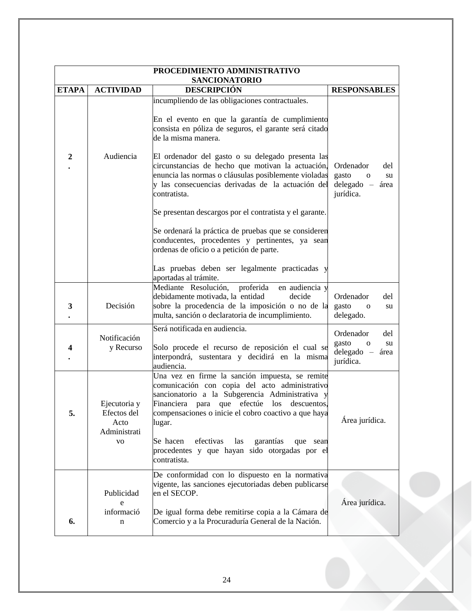| PROCEDIMIENTO ADMINISTRATIVO |                                                           |                                                                                                                                                                                                                                                                                                                                                                                                 |                                                                                      |  |  |
|------------------------------|-----------------------------------------------------------|-------------------------------------------------------------------------------------------------------------------------------------------------------------------------------------------------------------------------------------------------------------------------------------------------------------------------------------------------------------------------------------------------|--------------------------------------------------------------------------------------|--|--|
| <b>ETAPA</b>                 | <b>ACTIVIDAD</b>                                          | <b>SANCIONATORIO</b><br><b>DESCRIPCIÓN</b>                                                                                                                                                                                                                                                                                                                                                      | <b>RESPONSABLES</b>                                                                  |  |  |
|                              |                                                           | incumpliendo de las obligaciones contractuales.<br>En el evento en que la garantía de cumplimiento<br>consista en póliza de seguros, el garante será citado<br>de la misma manera.                                                                                                                                                                                                              |                                                                                      |  |  |
| $\boldsymbol{2}$             | Audiencia                                                 | El ordenador del gasto o su delegado presenta las<br>circunstancias de hecho que motivan la actuación,<br>enuncia las normas o cláusulas posiblemente violadas<br>y las consecuencias derivadas de la actuación del<br>contratista.<br>Se presentan descargos por el contratista y el garante.                                                                                                  | Ordenador<br>del<br>gasto<br>su<br>$\mathbf{O}$<br>$delegado -$<br>área<br>jurídica. |  |  |
|                              |                                                           | Se ordenará la práctica de pruebas que se consideren<br>conducentes, procedentes y pertinentes, ya sean<br>ordenas de oficio o a petición de parte.                                                                                                                                                                                                                                             |                                                                                      |  |  |
|                              |                                                           | Las pruebas deben ser legalmente practicadas y<br>aportadas al trámite.                                                                                                                                                                                                                                                                                                                         |                                                                                      |  |  |
| 3                            | Decisión                                                  | Mediante Resolución,<br>proferida<br>en audiencia y<br>debidamente motivada, la entidad<br>decide<br>sobre la procedencia de la imposición o no de la<br>multa, sanción o declaratoria de incumplimiento.                                                                                                                                                                                       | Ordenador<br>del<br>gasto<br>$\mathbf 0$<br>su<br>delegado.                          |  |  |
| 4                            | Notificación<br>y Recurso                                 | Será notificada en audiencia.<br>Solo procede el recurso de reposición el cual se<br>interpondrá, sustentara y decidirá en la misma<br>audiencia.                                                                                                                                                                                                                                               | Ordenador<br>del<br>gasto<br>su<br>$\mathbf{O}$<br>$delegado -$<br>área<br>jurídica. |  |  |
| 5.                           | Ejecutoria y<br>Efectos del<br>Acto<br>Administrati<br>VO | Una vez en firme la sanción impuesta, se remite<br>comunicación con copia del acto administrativo<br>sancionatorio a la Subgerencia Administrativa y<br>Financiera para que efectúe los descuentos,<br>compensaciones o inicie el cobro coactivo a que haya<br>lugar.<br>efectivas<br>Se hacen<br>las<br>garantías<br>que sean<br>procedentes y que hayan sido otorgadas por el<br>contratista. | Área jurídica.                                                                       |  |  |
| 6.                           | Publicidad<br>e<br>informació<br>n                        | De conformidad con lo dispuesto en la normativa<br>vigente, las sanciones ejecutoriadas deben publicarse<br>en el SECOP.<br>De igual forma debe remitirse copia a la Cámara de<br>Comercio y a la Procuraduría General de la Nación.                                                                                                                                                            | Área jurídica.                                                                       |  |  |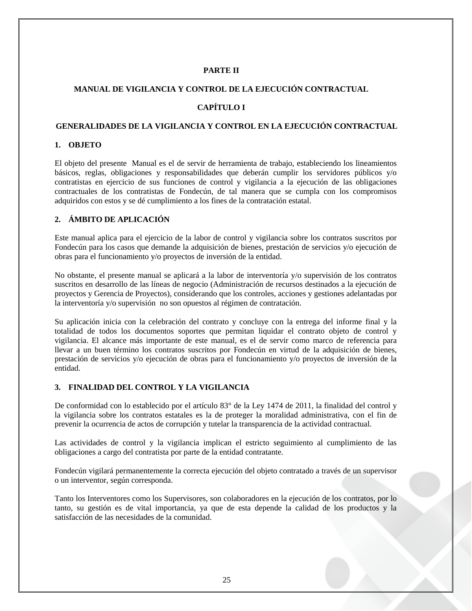## **PARTE II**

#### <span id="page-24-1"></span><span id="page-24-0"></span>**MANUAL DE VIGILANCIA Y CONTROL DE LA EJECUCIÓN CONTRACTUAL**

# **CAPÍTULO I**

#### <span id="page-24-3"></span><span id="page-24-2"></span>**GENERALIDADES DE LA VIGILANCIA Y CONTROL EN LA EJECUCIÓN CONTRACTUAL**

#### <span id="page-24-4"></span>**1. OBJETO**

El objeto del presente Manual es el de servir de herramienta de trabajo, estableciendo los lineamientos básicos, reglas, obligaciones y responsabilidades que deberán cumplir los servidores públicos y/o contratistas en ejercicio de sus funciones de control y vigilancia a la ejecución de las obligaciones contractuales de los contratistas de Fondecún, de tal manera que se cumpla con los compromisos adquiridos con estos y se dé cumplimiento a los fines de la contratación estatal.

## <span id="page-24-5"></span>**2. ÁMBITO DE APLICACIÓN**

Este manual aplica para el ejercicio de la labor de control y vigilancia sobre los contratos suscritos por Fondecún para los casos que demande la adquisición de bienes, prestación de servicios y/o ejecución de obras para el funcionamiento y/o proyectos de inversión de la entidad.

No obstante, el presente manual se aplicará a la labor de interventoría y/o supervisión de los contratos suscritos en desarrollo de las líneas de negocio (Administración de recursos destinados a la ejecución de proyectos y Gerencia de Proyectos), considerando que los controles, acciones y gestiones adelantadas por la interventoría y/o supervisión no son opuestos al régimen de contratación.

Su aplicación inicia con la celebración del contrato y concluye con la entrega del informe final y la totalidad de todos los documentos soportes que permitan liquidar el contrato objeto de control y vigilancia. El alcance más importante de este manual, es el de servir como marco de referencia para llevar a un buen término los contratos suscritos por Fondecún en virtud de la adquisición de bienes, prestación de servicios y/o ejecución de obras para el funcionamiento y/o proyectos de inversión de la entidad.

#### <span id="page-24-6"></span>**3. FINALIDAD DEL CONTROL Y LA VIGILANCIA**

De conformidad con lo establecido por el artículo 83° de la Ley 1474 de 2011, la finalidad del control y la vigilancia sobre los contratos estatales es la de proteger la moralidad administrativa, con el fin de prevenir la ocurrencia de actos de corrupción y tutelar la transparencia de la actividad contractual.

Las actividades de control y la vigilancia implican el estricto seguimiento al cumplimiento de las obligaciones a cargo del contratista por parte de la entidad contratante.

Fondecún vigilará permanentemente la correcta ejecución del objeto contratado a través de un supervisor o un interventor, según corresponda.

Tanto los Interventores como los Supervisores, son colaboradores en la ejecución de los contratos, por lo tanto, su gestión es de vital importancia, ya que de esta depende la calidad de los productos y la satisfacción de las necesidades de la comunidad.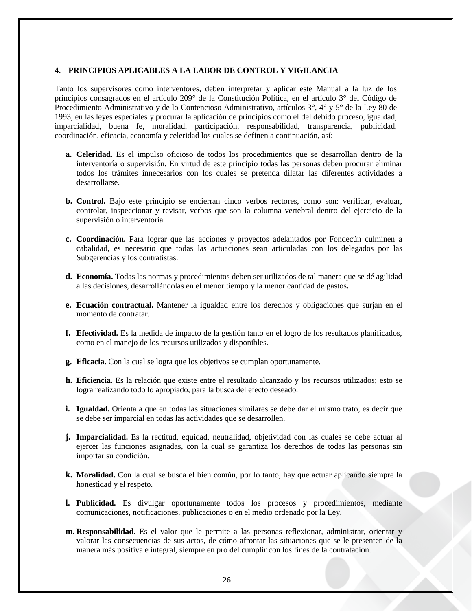#### <span id="page-25-0"></span>**4. PRINCIPIOS APLICABLES A LA LABOR DE CONTROL Y VIGILANCIA**

Tanto los supervisores como interventores, deben interpretar y aplicar este Manual a la luz de los principios consagrados en el artículo 209° de la Constitución Política, en el artículo 3° del Código de Procedimiento Administrativo y de lo Contencioso Administrativo, artículos 3°, 4° y 5° de la Ley 80 de 1993, en las leyes especiales y procurar la aplicación de principios como el del debido proceso, igualdad, imparcialidad, buena fe, moralidad, participación, responsabilidad, transparencia, publicidad, coordinación, eficacia, economía y celeridad los cuales se definen a continuación, así:

- **a. Celeridad.** Es el impulso oficioso de todos los procedimientos que se desarrollan dentro de la interventoría o supervisión. En virtud de este principio todas las personas deben procurar eliminar todos los trámites innecesarios con los cuales se pretenda dilatar las diferentes actividades a desarrollarse.
- **b. Control.** Bajo este principio se encierran cinco verbos rectores, como son: verificar, evaluar, controlar, inspeccionar y revisar, verbos que son la columna vertebral dentro del ejercicio de la supervisión o interventoría.
- **c. Coordinación.** Para lograr que las acciones y proyectos adelantados por Fondecún culminen a cabalidad, es necesario que todas las actuaciones sean articuladas con los delegados por las Subgerencias y los contratistas.
- **d. Economía.** Todas las normas y procedimientos deben ser utilizados de tal manera que se dé agilidad a las decisiones, desarrollándolas en el menor tiempo y la menor cantidad de gastos**.**
- **e. Ecuación contractual.** Mantener la igualdad entre los derechos y obligaciones que surjan en el momento de contratar.
- **f. Efectividad.** Es la medida de impacto de la gestión tanto en el logro de los resultados planificados, como en el manejo de los recursos utilizados y disponibles.
- **g. Eficacia.** Con la cual se logra que los objetivos se cumplan oportunamente.
- **h. Eficiencia.** Es la relación que existe entre el resultado alcanzado y los recursos utilizados; esto se logra realizando todo lo apropiado, para la busca del efecto deseado.
- **i. Igualdad.** Orienta a que en todas las situaciones similares se debe dar el mismo trato, es decir que se debe ser imparcial en todas las actividades que se desarrollen.
- **j. Imparcialidad.** Es la rectitud, equidad, neutralidad, objetividad con las cuales se debe actuar al ejercer las funciones asignadas, con la cual se garantiza los derechos de todas las personas sin importar su condición.
- **k. Moralidad.** Con la cual se busca el bien común, por lo tanto, hay que actuar aplicando siempre la honestidad y el respeto.
- **l. Publicidad.** Es divulgar oportunamente todos los procesos y procedimientos, mediante comunicaciones, notificaciones, publicaciones o en el medio ordenado por la Ley.
- **m. Responsabilidad.** Es el valor que le permite a las personas reflexionar, administrar, orientar y valorar las consecuencias de sus actos, de cómo afrontar las situaciones que se le presenten de la manera más positiva e integral, siempre en pro del cumplir con los fines de la contratación.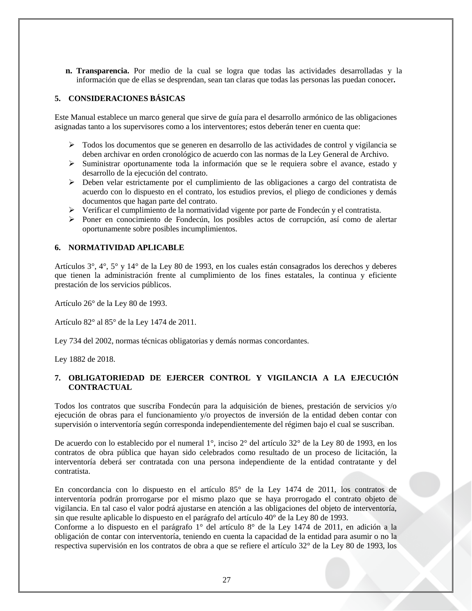**n. Transparencia.** Por medio de la cual se logra que todas las actividades desarrolladas y la información que de ellas se desprendan, sean tan claras que todas las personas las puedan conocer**.**

#### <span id="page-26-0"></span>**5. CONSIDERACIONES BÁSICAS**

Este Manual establece un marco general que sirve de guía para el desarrollo armónico de las obligaciones asignadas tanto a los supervisores como a los interventores; estos deberán tener en cuenta que:

- $\triangleright$  Todos los documentos que se generen en desarrollo de las actividades de control y vigilancia se deben archivar en orden cronológico de acuerdo con las normas de la Ley General de Archivo.
- $\triangleright$  Suministrar oportunamente toda la información que se le requiera sobre el avance, estado y desarrollo de la ejecución del contrato.
- $\triangleright$  Deben velar estrictamente por el cumplimiento de las obligaciones a cargo del contratista de acuerdo con lo dispuesto en el contrato, los estudios previos, el pliego de condiciones y demás documentos que hagan parte del contrato.
- $\triangleright$  Verificar el cumplimiento de la normatividad vigente por parte de Fondecún y el contratista.
- $\triangleright$  Poner en conocimiento de Fondecún, los posibles actos de corrupción, así como de alertar oportunamente sobre posibles incumplimientos.

#### <span id="page-26-1"></span>**6. NORMATIVIDAD APLICABLE**

Artículos 3°, 4°, 5° y 14° de la Ley 80 de 1993, en los cuales están consagrados los derechos y deberes que tienen la administración frente al cumplimiento de los fines estatales, la continua y eficiente prestación de los servicios públicos.

Artículo 26° de la Ley 80 de 1993.

Artículo 82° al 85° de la Ley 1474 de 2011.

Ley 734 del 2002, normas técnicas obligatorias y demás normas concordantes.

Ley 1882 de 2018.

## <span id="page-26-2"></span>**7. OBLIGATORIEDAD DE EJERCER CONTROL Y VIGILANCIA A LA EJECUCIÓN CONTRACTUAL**

Todos los contratos que suscriba Fondecún para la adquisición de bienes, prestación de servicios y/o ejecución de obras para el funcionamiento y/o proyectos de inversión de la entidad deben contar con supervisión o interventoría según corresponda independientemente del régimen bajo el cual se suscriban.

De acuerdo con lo establecido por el numeral 1°, inciso 2° del artículo 32° de la Ley 80 de 1993, en los contratos de obra pública que hayan sido celebrados como resultado de un proceso de licitación, la interventoría deberá ser contratada con una persona independiente de la entidad contratante y del contratista.

En concordancia con lo dispuesto en el artículo 85° de la Ley 1474 de 2011, los contratos de interventoría podrán prorrogarse por el mismo plazo que se haya prorrogado el contrato objeto de vigilancia. En tal caso el valor podrá ajustarse en atención a las obligaciones del objeto de interventoría, sin que resulte aplicable lo dispuesto en el parágrafo del artículo 40° de la Ley 80 de 1993.

Conforme a lo dispuesto en el parágrafo 1° del artículo 8° de la Ley 1474 de 2011, en adición a la obligación de contar con interventoría, teniendo en cuenta la capacidad de la entidad para asumir o no la respectiva supervisión en los contratos de obra a que se refiere el artículo 32° de la Ley 80 de 1993, los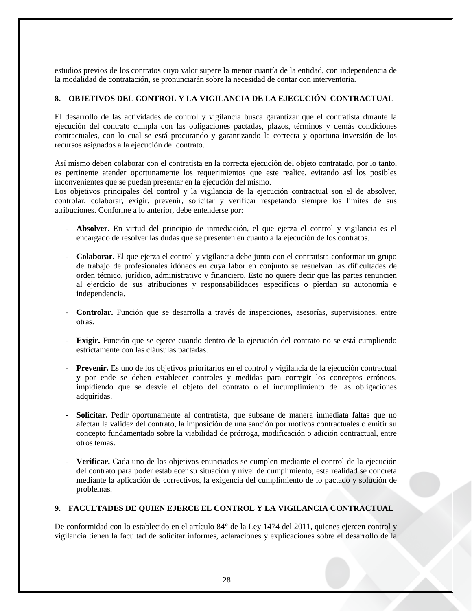estudios previos de los contratos cuyo valor supere la menor cuantía de la entidad, con independencia de la modalidad de contratación, se pronunciarán sobre la necesidad de contar con interventoría.

## <span id="page-27-0"></span>**8. OBJETIVOS DEL CONTROL Y LA VIGILANCIA DE LA EJECUCIÓN CONTRACTUAL**

El desarrollo de las actividades de control y vigilancia busca garantizar que el contratista durante la ejecución del contrato cumpla con las obligaciones pactadas, plazos, términos y demás condiciones contractuales, con lo cual se está procurando y garantizando la correcta y oportuna inversión de los recursos asignados a la ejecución del contrato.

Así mismo deben colaborar con el contratista en la correcta ejecución del objeto contratado, por lo tanto, es pertinente atender oportunamente los requerimientos que este realice, evitando así los posibles inconvenientes que se puedan presentar en la ejecución del mismo.

Los objetivos principales del control y la vigilancia de la ejecución contractual son el de absolver, controlar, colaborar, exigir, prevenir, solicitar y verificar respetando siempre los límites de sus atribuciones. Conforme a lo anterior, debe entenderse por:

- **Absolver.** En virtud del principio de inmediación, el que ejerza el control y vigilancia es el encargado de resolver las dudas que se presenten en cuanto a la ejecución de los contratos.
- **Colaborar.** El que ejerza el control y vigilancia debe junto con el contratista conformar un grupo de trabajo de profesionales idóneos en cuya labor en conjunto se resuelvan las dificultades de orden técnico, jurídico, administrativo y financiero. Esto no quiere decir que las partes renuncien al ejercicio de sus atribuciones y responsabilidades específicas o pierdan su autonomía e independencia.
- **Controlar.** Función que se desarrolla a través de inspecciones, asesorías, supervisiones, entre otras.
- **Exigir.** Función que se ejerce cuando dentro de la ejecución del contrato no se está cumpliendo estrictamente con las cláusulas pactadas.
- **Prevenir.** Es uno de los objetivos prioritarios en el control y vigilancia de la ejecución contractual y por ende se deben establecer controles y medidas para corregir los conceptos erróneos, impidiendo que se desvíe el objeto del contrato o el incumplimiento de las obligaciones adquiridas.
- **Solicitar.** Pedir oportunamente al contratista, que subsane de manera inmediata faltas que no afectan la validez del contrato, la imposición de una sanción por motivos contractuales o emitir su concepto fundamentado sobre la viabilidad de prórroga, modificación o adición contractual, entre otros temas.
- **Verificar.** Cada uno de los objetivos enunciados se cumplen mediante el control de la ejecución del contrato para poder establecer su situación y nivel de cumplimiento, esta realidad se concreta mediante la aplicación de correctivos, la exigencia del cumplimiento de lo pactado y solución de problemas.

## <span id="page-27-1"></span>**9. FACULTADES DE QUIEN EJERCE EL CONTROL Y LA VIGILANCIA CONTRACTUAL**

De conformidad con lo establecido en el artículo 84° de la Ley 1474 del 2011, quienes ejercen control y vigilancia tienen la facultad de solicitar informes, aclaraciones y explicaciones sobre el desarrollo de la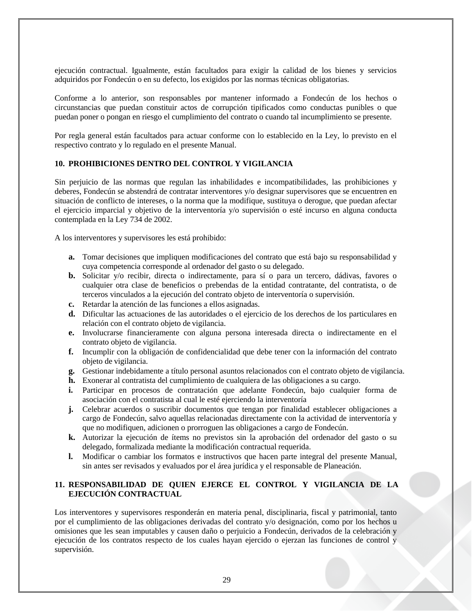ejecución contractual. Igualmente, están facultados para exigir la calidad de los bienes y servicios adquiridos por Fondecún o en su defecto, los exigidos por las normas técnicas obligatorias.

Conforme a lo anterior, son responsables por mantener informado a Fondecún de los hechos o circunstancias que puedan constituir actos de corrupción tipificados como conductas punibles o que puedan poner o pongan en riesgo el cumplimiento del contrato o cuando tal incumplimiento se presente.

Por regla general están facultados para actuar conforme con lo establecido en la Ley, lo previsto en el respectivo contrato y lo regulado en el presente Manual.

#### <span id="page-28-0"></span>**10. PROHIBICIONES DENTRO DEL CONTROL Y VIGILANCIA**

Sin perjuicio de las normas que regulan las inhabilidades e incompatibilidades, las prohibiciones y deberes, Fondecún se abstendrá de contratar interventores y/o designar supervisores que se encuentren en situación de conflicto de intereses, o la norma que la modifique, sustituya o derogue, que puedan afectar el ejercicio imparcial y objetivo de la interventoría y/o supervisión o esté incurso en alguna conducta contemplada en la Ley 734 de 2002.

A los interventores y supervisores les está prohibido:

- **a.** Tomar decisiones que impliquen modificaciones del contrato que está bajo su responsabilidad y cuya competencia corresponde al ordenador del gasto o su delegado.
- **b.** Solicitar y/o recibir, directa o indirectamente, para sí o para un tercero, dádivas, favores o cualquier otra clase de beneficios o prebendas de la entidad contratante, del contratista, o de terceros vinculados a la ejecución del contrato objeto de interventoría o supervisión.
- **c.** Retardar la atención de las funciones a ellos asignadas.
- **d.** Dificultar las actuaciones de las autoridades o el ejercicio de los derechos de los particulares en relación con el contrato objeto de vigilancia.
- **e.** Involucrarse financieramente con alguna persona interesada directa o indirectamente en el contrato objeto de vigilancia.
- **f.** Incumplir con la obligación de confidencialidad que debe tener con la información del contrato objeto de vigilancia.
- **g.** Gestionar indebidamente a título personal asuntos relacionados con el contrato objeto de vigilancia.
- **h.** Exonerar al contratista del cumplimiento de cualquiera de las obligaciones a su cargo.
- **i.** Participar en procesos de contratación que adelante Fondecún, bajo cualquier forma de asociación con el contratista al cual le esté ejerciendo la interventoría
- **j.** Celebrar acuerdos o suscribir documentos que tengan por finalidad establecer obligaciones a cargo de Fondecún, salvo aquellas relacionadas directamente con la actividad de interventoría y que no modifiquen, adicionen o prorroguen las obligaciones a cargo de Fondecún.
- **k.** Autorizar la ejecución de ítems no previstos sin la aprobación del ordenador del gasto o su delegado, formalizada mediante la modificación contractual requerida.
- **l.** Modificar o cambiar los formatos e instructivos que hacen parte integral del presente Manual, sin antes ser revisados y evaluados por el área jurídica y el responsable de Planeación.

#### <span id="page-28-1"></span>**11. RESPONSABILIDAD DE QUIEN EJERCE EL CONTROL Y VIGILANCIA DE LA EJECUCIÓN CONTRACTUAL**

Los interventores y supervisores responderán en materia penal, disciplinaria, fiscal y patrimonial, tanto por el cumplimiento de las obligaciones derivadas del contrato y/o designación, como por los hechos u omisiones que les sean imputables y causen daño o perjuicio a Fondecún, derivados de la celebración y ejecución de los contratos respecto de los cuales hayan ejercido o ejerzan las funciones de control y supervisión.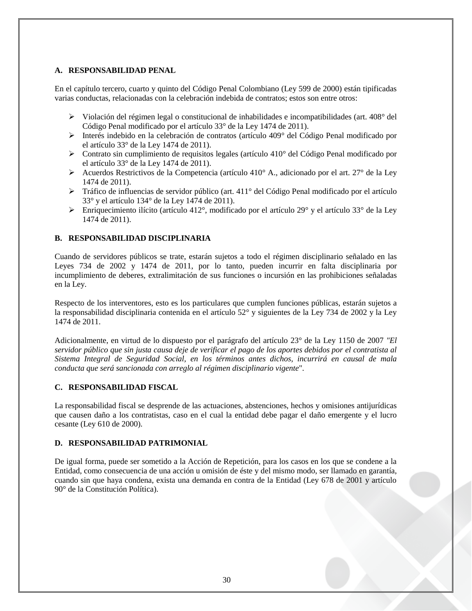## <span id="page-29-0"></span>**A. RESPONSABILIDAD PENAL**

En el capítulo tercero, cuarto y quinto del Código Penal Colombiano (Ley 599 de 2000) están tipificadas varias conductas, relacionadas con la celebración indebida de contratos; estos son entre otros:

- $\triangleright$  Violación del régimen legal o constitucional de inhabilidades e incompatibilidades (art. 408 $^{\circ}$  del Código Penal modificado por el artículo 33° de la Ley 1474 de 2011).
- $\triangleright$  Interés indebido en la celebración de contratos (artículo 409 $^{\circ}$  del Código Penal modificado por el artículo 33° de la Ley 1474 de 2011).
- Contrato sin cumplimiento de requisitos legales (artículo 410° del Código Penal modificado por el artículo 33° de la Ley 1474 de 2011).
- Acuerdos Restrictivos de la Competencia (artículo 410 $^{\circ}$  A., adicionado por el art. 27 $^{\circ}$  de la Lev 1474 de 2011).
- Tráfico de influencias de servidor público (art. 411° del Código Penal modificado por el artículo 33° y el artículo 134° de la Ley 1474 de 2011).
- Enriquecimiento ilícito (artículo 412°, modificado por el artículo 29° y el artículo 33° de la Ley 1474 de 2011).

## <span id="page-29-1"></span>**B. RESPONSABILIDAD DISCIPLINARIA**

Cuando de servidores públicos se trate, estarán sujetos a todo el régimen disciplinario señalado en las Leyes 734 de 2002 y 1474 de 2011, por lo tanto, pueden incurrir en falta disciplinaria por incumplimiento de deberes, extralimitación de sus funciones o incursión en las prohibiciones señaladas en la Ley.

Respecto de los interventores, esto es los particulares que cumplen funciones públicas, estarán sujetos a la responsabilidad disciplinaria contenida en el artículo 52° y siguientes de la Ley 734 de 2002 y la Ley 1474 de 2011.

Adicionalmente, en virtud de lo dispuesto por el parágrafo del artículo 23° de la Ley 1150 de 2007 *"El servidor público que sin justa causa deje de verificar el pago de los aportes debidos por el contratista al Sistema Integral de Seguridad Social, en los términos antes dichos, incurrirá en causal de mala conducta que será sancionada con arreglo al régimen disciplinario vigente*".

## <span id="page-29-2"></span>**C. RESPONSABILIDAD FISCAL**

La responsabilidad fiscal se desprende de las actuaciones, abstenciones, hechos y omisiones antijurídicas que causen daño a los contratistas, caso en el cual la entidad debe pagar el daño emergente y el lucro cesante (Ley 610 de 2000).

## <span id="page-29-3"></span>**D. RESPONSABILIDAD PATRIMONIAL**

De igual forma, puede ser sometido a la Acción de Repetición, para los casos en los que se condene a la Entidad, como consecuencia de una acción u omisión de éste y del mismo modo, ser llamado en garantía, cuando sin que haya condena, exista una demanda en contra de la Entidad (Ley 678 de 2001 y artículo 90° de la Constitución Política).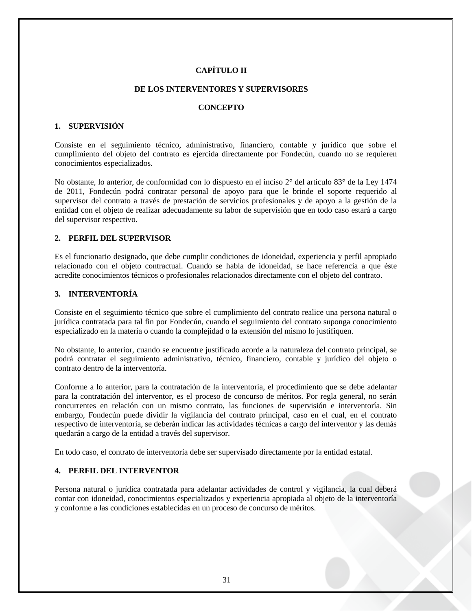## **CAPÍTULO II**

#### **DE LOS INTERVENTORES Y SUPERVISORES**

#### **CONCEPTO**

#### <span id="page-30-3"></span><span id="page-30-2"></span><span id="page-30-1"></span><span id="page-30-0"></span>**1. SUPERVISIÓN**

Consiste en el seguimiento técnico, administrativo, financiero, contable y jurídico que sobre el cumplimiento del objeto del contrato es ejercida directamente por Fondecún, cuando no se requieren conocimientos especializados.

No obstante, lo anterior, de conformidad con lo dispuesto en el inciso 2° del artículo 83° de la Ley 1474 de 2011, Fondecún podrá contratar personal de apoyo para que le brinde el soporte requerido al supervisor del contrato a través de prestación de servicios profesionales y de apoyo a la gestión de la entidad con el objeto de realizar adecuadamente su labor de supervisión que en todo caso estará a cargo del supervisor respectivo.

#### <span id="page-30-4"></span>**2. PERFIL DEL SUPERVISOR**

Es el funcionario designado, que debe cumplir condiciones de idoneidad, experiencia y perfil apropiado relacionado con el objeto contractual. Cuando se habla de idoneidad, se hace referencia a que éste acredite conocimientos técnicos o profesionales relacionados directamente con el objeto del contrato.

#### <span id="page-30-5"></span>**3. INTERVENTORÍA**

Consiste en el seguimiento técnico que sobre el cumplimiento del contrato realice una persona natural o jurídica contratada para tal fin por Fondecún, cuando el seguimiento del contrato suponga conocimiento especializado en la materia o cuando la complejidad o la extensión del mismo lo justifiquen.

No obstante, lo anterior, cuando se encuentre justificado acorde a la naturaleza del contrato principal, se podrá contratar el seguimiento administrativo, técnico, financiero, contable y jurídico del objeto o contrato dentro de la interventoría.

Conforme a lo anterior, para la contratación de la interventoría, el procedimiento que se debe adelantar para la contratación del interventor, es el proceso de concurso de méritos. Por regla general, no serán concurrentes en relación con un mismo contrato, las funciones de supervisión e interventoría. Sin embargo, Fondecún puede dividir la vigilancia del contrato principal, caso en el cual, en el contrato respectivo de interventoría, se deberán indicar las actividades técnicas a cargo del interventor y las demás quedarán a cargo de la entidad a través del supervisor.

En todo caso, el contrato de interventoría debe ser supervisado directamente por la entidad estatal.

#### <span id="page-30-6"></span>**4. PERFIL DEL INTERVENTOR**

Persona natural o jurídica contratada para adelantar actividades de control y vigilancia, la cual deberá contar con idoneidad, conocimientos especializados y experiencia apropiada al objeto de la interventoría y conforme a las condiciones establecidas en un proceso de concurso de méritos.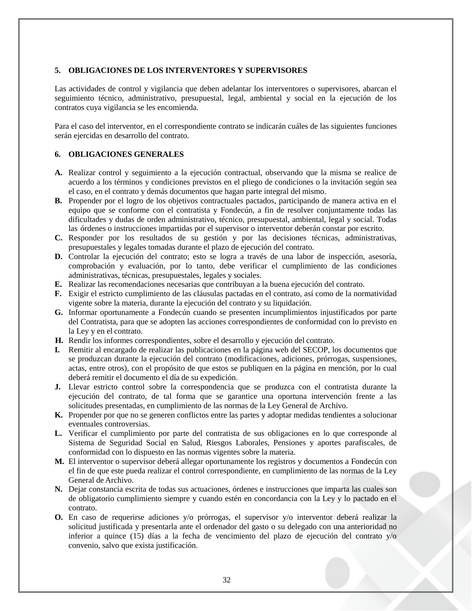#### <span id="page-31-0"></span>**5. OBLIGACIONES DE LOS INTERVENTORES Y SUPERVISORES**

Las actividades de control y vigilancia que deben adelantar los interventores o supervisores, abarcan el seguimiento técnico, administrativo, presupuestal, legal, ambiental y social en la ejecución de los contratos cuya vigilancia se les encomienda.

Para el caso del interventor, en el correspondiente contrato se indicarán cuáles de las siguientes funciones serán ejercidas en desarrollo del contrato.

#### <span id="page-31-1"></span>**6. OBLIGACIONES GENERALES**

- **A.** Realizar control y seguimiento a la ejecución contractual, observando que la misma se realice de acuerdo a los términos y condiciones previstos en el pliego de condiciones o la invitación según sea el caso, en el contrato y demás documentos que hagan parte integral del mismo.
- **B.** Propender por el logro de los objetivos contractuales pactados, participando de manera activa en el equipo que se conforme con el contratista y Fondecún, a fin de resolver conjuntamente todas las dificultades y dudas de orden administrativo, técnico, presupuestal, ambiental, legal y social. Todas las órdenes o instrucciones impartidas por el supervisor o interventor deberán constar por escrito.
- **C.** Responder por los resultados de su gestión y por las decisiones técnicas, administrativas, presupuestales y legales tomadas durante el plazo de ejecución del contrato.
- **D.** Controlar la ejecución del contrato; esto se logra a través de una labor de inspección, asesoría, comprobación y evaluación, por lo tanto, debe verificar el cumplimiento de las condiciones administrativas, técnicas, presupuestales, legales y sociales.
- **E.** Realizar las recomendaciones necesarias que contribuyan a la buena ejecución del contrato.
- **F.** Exigir el estricto cumplimiento de las cláusulas pactadas en el contrato, así como de la normatividad vigente sobre la materia, durante la ejecución del contrato y su liquidación.
- **G.** Informar oportunamente a Fondecún cuando se presenten incumplimientos injustificados por parte del Contratista, para que se adopten las acciones correspondientes de conformidad con lo previsto en la Ley y en el contrato.
- **H.** Rendir los informes correspondientes, sobre el desarrollo y ejecución del contrato.
- **I.** Remitir al encargado de realizar las publicaciones en la página web del SECOP, los documentos que se produzcan durante la ejecución del contrato (modificaciones, adiciones, prórrogas, suspensiones, actas, entre otros), con el propósito de que estos se publiquen en la página en mención, por lo cual deberá remitir el documento el día de su expedición.
- **J.** Llevar estricto control sobre la correspondencia que se produzca con el contratista durante la ejecución del contrato, de tal forma que se garantice una oportuna intervención frente a las solicitudes presentadas, en cumplimiento de las normas de la Ley General de Archivo.
- **K.** Propender por que no se generen conflictos entre las partes y adoptar medidas tendientes a solucionar eventuales controversias.
- **L.** Verificar el cumplimiento por parte del contratista de sus obligaciones en lo que corresponde al Sistema de Seguridad Social en Salud, Riesgos Laborales, Pensiones y aportes parafiscales, de conformidad con lo dispuesto en las normas vigentes sobre la materia.
- **M.** El interventor o supervisor deberá allegar oportunamente los registros y documentos a Fondecún con el fin de que este pueda realizar el control correspondiente, en cumplimiento de las normas de la Ley General de Archivo.
- **N.** Dejar constancia escrita de todas sus actuaciones, órdenes e instrucciones que imparta las cuales son de obligatorio cumplimiento siempre y cuando estén en concordancia con la Ley y lo pactado en el contrato.
- **O.** En caso de requerirse adiciones y/o prórrogas, el supervisor y/o interventor deberá realizar la solicitud justificada y presentarla ante el ordenador del gasto o su delegado con una anterioridad no inferior a quince (15) días a la fecha de vencimiento del plazo de ejecución del contrato y/o convenio, salvo que exista justificación.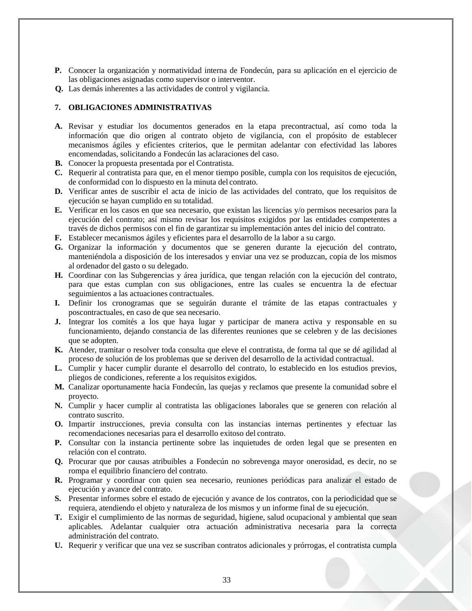- **P.** Conocer la organización y normatividad interna de Fondecún, para su aplicación en el ejercicio de las obligaciones asignadas como supervisor o interventor.
- **Q.** Las demás inherentes a las actividades de control y vigilancia.

## <span id="page-32-0"></span>**7. OBLIGACIONES ADMINISTRATIVAS**

- **A.** Revisar y estudiar los documentos generados en la etapa precontractual, así como toda la información que dio origen al contrato objeto de vigilancia, con el propósito de establecer mecanismos ágiles y eficientes criterios, que le permitan adelantar con efectividad las labores encomendadas, solicitando a Fondecún las aclaraciones del caso.
- **B.** Conocer la propuesta presentada por el Contratista.
- **C.** Requerir al contratista para que, en el menor tiempo posible, cumpla con los requisitos de ejecución, de conformidad con lo dispuesto en la minuta del contrato.
- **D.** Verificar antes de suscribir el acta de inicio de las actividades del contrato, que los requisitos de ejecución se hayan cumplido en su totalidad.
- **E.** Verificar en los casos en que sea necesario, que existan las licencias y/o permisos necesarios para la ejecución del contrato; así mismo revisar los requisitos exigidos por las entidades competentes a través de dichos permisos con el fin de garantizar su implementación antes del inicio del contrato.
- **F.** Establecer mecanismos ágiles y eficientes para el desarrollo de la labor a su cargo.
- **G.** Organizar la información y documentos que se generen durante la ejecución del contrato, manteniéndola a disposición de los interesados y enviar una vez se produzcan, copia de los mismos al ordenador del gasto o su delegado.
- **H.** Coordinar con las Subgerencias y área jurídica, que tengan relación con la ejecución del contrato, para que estas cumplan con sus obligaciones, entre las cuales se encuentra la de efectuar seguimientos a las actuaciones contractuales.
- **I.** Definir los cronogramas que se seguirán durante el trámite de las etapas contractuales y poscontractuales, en caso de que sea necesario.
- **J.** Integrar los comités a los que haya lugar y participar de manera activa y responsable en su funcionamiento, dejando constancia de las diferentes reuniones que se celebren y de las decisiones que se adopten.
- **K.** Atender, tramitar o resolver toda consulta que eleve el contratista, de forma tal que se dé agilidad al proceso de solución de los problemas que se deriven del desarrollo de la actividad contractual.
- **L.** Cumplir y hacer cumplir durante el desarrollo del contrato, lo establecido en los estudios previos, pliegos de condiciones, referente a los requisitos exigidos.
- **M.** Canalizar oportunamente hacia Fondecún, las quejas y reclamos que presente la comunidad sobre el proyecto.
- **N.** Cumplir y hacer cumplir al contratista las obligaciones laborales que se generen con relación al contrato suscrito.
- **O.** Impartir instrucciones, previa consulta con las instancias internas pertinentes y efectuar las recomendaciones necesarias para el desarrollo exitoso del contrato.
- **P.** Consultar con la instancia pertinente sobre las inquietudes de orden legal que se presenten en relación con el contrato.
- **Q.** Procurar que por causas atribuibles a Fondecún no sobrevenga mayor onerosidad, es decir, no se rompa el equilibrio financiero del contrato.
- **R.** Programar y coordinar con quien sea necesario, reuniones periódicas para analizar el estado de ejecución y avance del contrato.
- **S.** Presentar informes sobre el estado de ejecución y avance de los contratos, con la periodicidad que se requiera, atendiendo el objeto y naturaleza de los mismos y un informe final de su ejecución.
- **T.** Exigir el cumplimiento de las normas de seguridad, higiene, salud ocupacional y ambiental que sean aplicables. Adelantar cualquier otra actuación administrativa necesaria para la correcta administración del contrato.
- **U.** Requerir y verificar que una vez se suscriban contratos adicionales y prórrogas, el contratista cumpla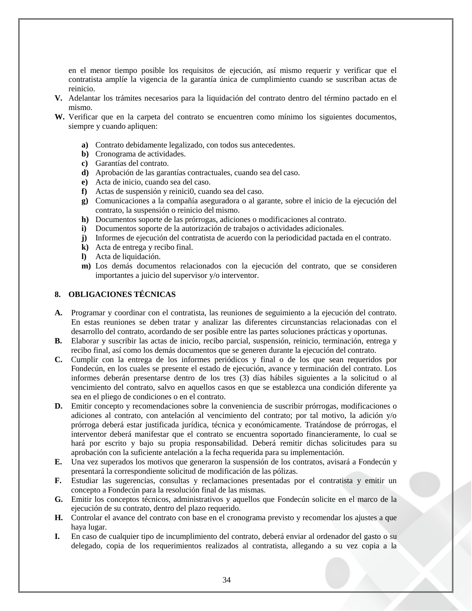en el menor tiempo posible los requisitos de ejecución, así mismo requerir y verificar que el contratista amplíe la vigencia de la garantía única de cumplimiento cuando se suscriban actas de reinicio.

- **V.** Adelantar los trámites necesarios para la liquidación del contrato dentro del término pactado en el mismo.
- **W.** Verificar que en la carpeta del contrato se encuentren como mínimo los siguientes documentos, siempre y cuando apliquen:
	- **a)** Contrato debidamente legalizado, con todos sus antecedentes.
	- **b)** Cronograma de actividades.
	- **c)** Garantías del contrato.
	- **d)** Aprobación de las garantías contractuales, cuando sea del caso.
	- **e)** Acta de inicio, cuando sea del caso.
	- **f)** Actas de suspensión y reinici0, cuando sea del caso.
	- **g)** Comunicaciones a la compañía aseguradora o al garante, sobre el inicio de la ejecución del contrato, la suspensión o reinicio del mismo.
	- **h)** Documentos soporte de las prórrogas, adiciones o modificaciones al contrato.
	- **i)** Documentos soporte de la autorización de trabajos o actividades adicionales.
	- **j)** Informes de ejecución del contratista de acuerdo con la periodicidad pactada en el contrato.
	- **k)** Acta de entrega y recibo final.
	- **l)** Acta de liquidación.
	- **m)** Los demás documentos relacionados con la ejecución del contrato, que se consideren importantes a juicio del supervisor y/o interventor.

#### <span id="page-33-0"></span>**8. OBLIGACIONES TÉCNICAS**

- **A.** Programar y coordinar con el contratista, las reuniones de seguimiento a la ejecución del contrato. En estas reuniones se deben tratar y analizar las diferentes circunstancias relacionadas con el desarrollo del contrato, acordando de ser posible entre las partes soluciones prácticas y oportunas.
- **B.** Elaborar y suscribir las actas de inicio, recibo parcial, suspensión, reinicio, terminación, entrega y recibo final, así como los demás documentos que se generen durante la ejecución del contrato.
- **C.** Cumplir con la entrega de los informes periódicos y final o de los que sean requeridos por Fondecún, en los cuales se presente el estado de ejecución, avance y terminación del contrato. Los informes deberán presentarse dentro de los tres (3) días hábiles siguientes a la solicitud o al vencimiento del contrato, salvo en aquellos casos en que se establezca una condición diferente ya sea en el pliego de condiciones o en el contrato.
- **D.** Emitir concepto y recomendaciones sobre la conveniencia de suscribir prórrogas, modificaciones o adiciones al contrato, con antelación al vencimiento del contrato; por tal motivo, la adición y/o prórroga deberá estar justificada jurídica, técnica y económicamente. Tratándose de prórrogas, el interventor deberá manifestar que el contrato se encuentra soportado financieramente, lo cual se hará por escrito y bajo su propia responsabilidad. Deberá remitir dichas solicitudes para su aprobación con la suficiente antelación a la fecha requerida para su implementación.
- **E.** Una vez superados los motivos que generaron la suspensión de los contratos, avisará a Fondecún y presentará la correspondiente solicitud de modificación de las pólizas.
- **F.** Estudiar las sugerencias, consultas y reclamaciones presentadas por el contratista y emitir un concepto a Fondecún para la resolución final de las mismas.
- **G.** Emitir los conceptos técnicos, administrativos y aquellos que Fondecún solicite en el marco de la ejecución de su contrato, dentro del plazo requerido.
- **H.** Controlar el avance del contrato con base en el cronograma previsto y recomendar los ajustes a que haya lugar.
- **I.** En caso de cualquier tipo de incumplimiento del contrato, deberá enviar al ordenador del gasto o su delegado, copia de los requerimientos realizados al contratista, allegando a su vez copia a la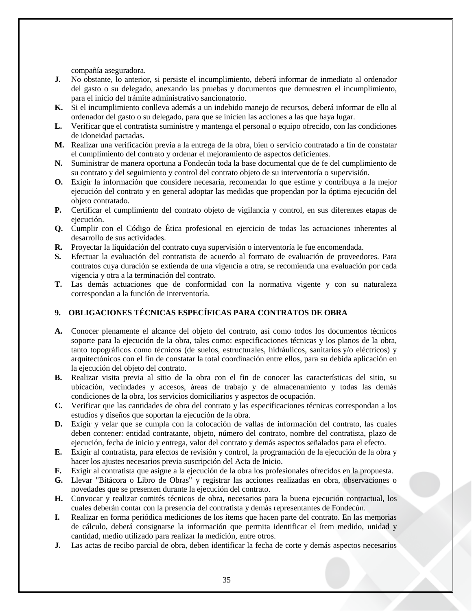compañía aseguradora.

- **J.** No obstante, lo anterior, si persiste el incumplimiento, deberá informar de inmediato al ordenador del gasto o su delegado, anexando las pruebas y documentos que demuestren el incumplimiento, para el inicio del trámite administrativo sancionatorio.
- **K.** Si el incumplimiento conlleva además a un indebido manejo de recursos, deberá informar de ello al ordenador del gasto o su delegado, para que se inicien las acciones a las que haya lugar.
- **L.** Verificar que el contratista suministre y mantenga el personal o equipo ofrecido, con las condiciones de idoneidad pactadas.
- **M.** Realizar una verificación previa a la entrega de la obra, bien o servicio contratado a fin de constatar el cumplimiento del contrato y ordenar el mejoramiento de aspectos deficientes.
- **N.** Suministrar de manera oportuna a Fondecún toda la base documental que de fe del cumplimiento de su contrato y del seguimiento y control del contrato objeto de su interventoría o supervisión.
- **O.** Exigir la información que considere necesaria, recomendar lo que estime y contribuya a la mejor ejecución del contrato y en general adoptar las medidas que propendan por la óptima ejecución del objeto contratado.
- **P.** Certificar el cumplimiento del contrato objeto de vigilancia y control, en sus diferentes etapas de ejecución.
- **Q.** Cumplir con el Código de Ética profesional en ejercicio de todas las actuaciones inherentes al desarrollo de sus actividades.
- **R.** Proyectar la liquidación del contrato cuya supervisión o interventoría le fue encomendada.
- **S.** Efectuar la evaluación del contratista de acuerdo al formato de evaluación de proveedores. Para contratos cuya duración se extienda de una vigencia a otra, se recomienda una evaluación por cada vigencia y otra a la terminación del contrato.
- **T.** Las demás actuaciones que de conformidad con la normativa vigente y con su naturaleza correspondan a la función de interventoría.

# <span id="page-34-0"></span>**9. OBLIGACIONES TÉCNICAS ESPECÍFICAS PARA CONTRATOS DE OBRA**

- **A.** Conocer plenamente el alcance del objeto del contrato, así como todos los documentos técnicos soporte para la ejecución de la obra, tales como: especificaciones técnicas y los planos de la obra, tanto topográficos como técnicos (de suelos, estructurales, hidráulicos, sanitarios y/o eléctricos) y arquitectónicos con el fin de constatar la total coordinación entre ellos, para su debida aplicación en la ejecución del objeto del contrato.
- **B.** Realizar visita previa al sitio de la obra con el fin de conocer las características del sitio, su ubicación, vecindades y accesos, áreas de trabajo y de almacenamiento y todas las demás condiciones de la obra, los servicios domiciliarios y aspectos de ocupación.
- **C.** Verificar que las cantidades de obra del contrato y las especificaciones técnicas correspondan a los estudios y diseños que soportan la ejecución de la obra.
- **D.** Exigir y velar que se cumpla con la colocación de vallas de información del contrato, las cuales deben contener: entidad contratante, objeto, número del contrato, nombre del contratista, plazo de ejecución, fecha de inicio y entrega, valor del contrato y demás aspectos señalados para el efecto.
- **E.** Exigir al contratista, para efectos de revisión y control, la programación de la ejecución de la obra y hacer los ajustes necesarios previa suscripción del Acta de Inicio.
- **F.** Exigir al contratista que asigne a la ejecución de la obra los profesionales ofrecidos en la propuesta.
- **G.** Llevar "Bitácora o Libro de Obras" y registrar las acciones realizadas en obra, observaciones o novedades que se presenten durante la ejecución del contrato.
- **H.** Convocar y realizar comités técnicos de obra, necesarios para la buena ejecución contractual, los cuales deberán contar con la presencia del contratista y demás representantes de Fondecún.
- **I.** Realizar en forma periódica mediciones de los ítems que hacen parte del contrato. En las memorias de cálculo, deberá consignarse la información que permita identificar el ítem medido, unidad y cantidad, medio utilizado para realizar la medición, entre otros.
- **J.** Las actas de recibo parcial de obra, deben identificar la fecha de corte y demás aspectos necesarios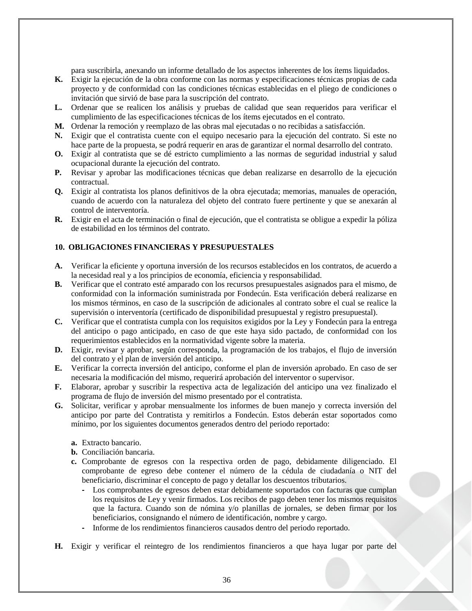para suscribirla, anexando un informe detallado de los aspectos inherentes de los ítems liquidados.

- **K.** Exigir la ejecución de la obra conforme con las normas y especificaciones técnicas propias de cada proyecto y de conformidad con las condiciones técnicas establecidas en el pliego de condiciones o invitación que sirvió de base para la suscripción del contrato.
- **L.** Ordenar que se realicen los análisis y pruebas de calidad que sean requeridos para verificar el cumplimiento de las especificaciones técnicas de los ítems ejecutados en el contrato.
- **M.** Ordenar la remoción y reemplazo de las obras mal ejecutadas o no recibidas a satisfacción.
- **N.** Exigir que el contratista cuente con el equipo necesario para la ejecución del contrato. Si este no hace parte de la propuesta, se podrá requerir en aras de garantizar el normal desarrollo del contrato.
- **O.** Exigir al contratista que se dé estricto cumplimiento a las normas de seguridad industrial y salud ocupacional durante la ejecución del contrato.
- **P.** Revisar y aprobar las modificaciones técnicas que deban realizarse en desarrollo de la ejecución contractual.
- **Q.** Exigir al contratista los planos definitivos de la obra ejecutada; memorias, manuales de operación, cuando de acuerdo con la naturaleza del objeto del contrato fuere pertinente y que se anexarán al control de interventoría.
- **R.** Exigir en el acta de terminación o final de ejecución, que el contratista se obligue a expedir la póliza de estabilidad en los términos del contrato.

## <span id="page-35-0"></span>**10. OBLIGACIONES FINANCIERAS Y PRESUPUESTALES**

- **A.** Verificar la eficiente y oportuna inversión de los recursos establecidos en los contratos, de acuerdo a la necesidad real y a los principios de economía, eficiencia y responsabilidad.
- **B.** Verificar que el contrato esté amparado con los recursos presupuestales asignados para el mismo, de conformidad con la información suministrada por Fondecún. Esta verificación deberá realizarse en los mismos términos, en caso de la suscripción de adicionales al contrato sobre el cual se realice la supervisión o interventoría (certificado de disponibilidad presupuestal y registro presupuestal).
- **C.** Verificar que el contratista cumpla con los requisitos exigidos por la Ley y Fondecún para la entrega del anticipo o pago anticipado, en caso de que este haya sido pactado, de conformidad con los requerimientos establecidos en la normatividad vigente sobre la materia.
- **D.** Exigir, revisar y aprobar, según corresponda, la programación de los trabajos, el flujo de inversión del contrato y el plan de inversión del anticipo.
- **E.** Verificar la correcta inversión del anticipo, conforme el plan de inversión aprobado. En caso de ser necesaria la modificación del mismo, requerirá aprobación del interventor o supervisor.
- **F.** Elaborar, aprobar y suscribir la respectiva acta de legalización del anticipo una vez finalizado el programa de flujo de inversión del mismo presentado por el contratista.
- **G.** Solicitar, verificar y aprobar mensualmente los informes de buen manejo y correcta inversión del anticipo por parte del Contratista y remitirlos a Fondecún. Estos deberán estar soportados como mínimo, por los siguientes documentos generados dentro del periodo reportado:
	- **a.** Extracto bancario.
	- **b.** Conciliación bancaria.
	- **c.** Comprobante de egresos con la respectiva orden de pago, debidamente diligenciado. El comprobante de egreso debe contener el número de la cédula de ciudadanía o NIT del beneficiario, discriminar el concepto de pago y detallar los descuentos tributarios.
		- **-** Los comprobantes de egresos deben estar debidamente soportados con facturas que cumplan los requisitos de Ley y venir firmados. Los recibos de pago deben tener los mismos requisitos que la factura. Cuando son de nómina y/o planillas de jornales, se deben firmar por los beneficiarios, consignando el número de identificación, nombre y cargo.
		- **-** Informe de los rendimientos financieros causados dentro del periodo reportado.
- **H.** Exigir y verificar el reintegro de los rendimientos financieros a que haya lugar por parte del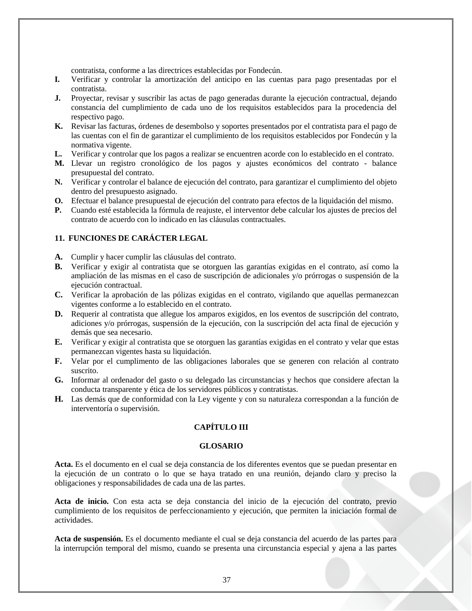contratista, conforme a las directrices establecidas por Fondecún.

- **I.** Verificar y controlar la amortización del anticipo en las cuentas para pago presentadas por el contratista.
- **J.** Proyectar, revisar y suscribir las actas de pago generadas durante la ejecución contractual, dejando constancia del cumplimiento de cada uno de los requisitos establecidos para la procedencia del respectivo pago.
- **K.** Revisar las facturas, órdenes de desembolso y soportes presentados por el contratista para el pago de las cuentas con el fin de garantizar el cumplimiento de los requisitos establecidos por Fondecún y la normativa vigente.
- **L.** Verificar y controlar que los pagos a realizar se encuentren acorde con lo establecido en el contrato.
- **M.** Llevar un registro cronológico de los pagos y ajustes económicos del contrato balance presupuestal del contrato.
- **N.** Verificar y controlar el balance de ejecución del contrato, para garantizar el cumplimiento del objeto dentro del presupuesto asignado.
- **O.** Efectuar el balance presupuestal de ejecución del contrato para efectos de la liquidación del mismo.
- **P.** Cuando esté establecida la fórmula de reajuste, el interventor debe calcular los ajustes de precios del contrato de acuerdo con lo indicado en las cláusulas contractuales.

## <span id="page-36-0"></span>**11. FUNCIONES DE CARÁCTER LEGAL**

- **A.** Cumplir y hacer cumplir las cláusulas del contrato.
- **B.** Verificar y exigir al contratista que se otorguen las garantías exigidas en el contrato, así como la ampliación de las mismas en el caso de suscripción de adicionales y/o prórrogas o suspensión de la ejecución contractual.
- **C.** Verificar la aprobación de las pólizas exigidas en el contrato, vigilando que aquellas permanezcan vigentes conforme a lo establecido en el contrato.
- **D.** Requerir al contratista que allegue los amparos exigidos, en los eventos de suscripción del contrato, adiciones y/o prórrogas, suspensión de la ejecución, con la suscripción del acta final de ejecución y demás que sea necesario.
- **E.** Verificar y exigir al contratista que se otorguen las garantías exigidas en el contrato y velar que estas permanezcan vigentes hasta su liquidación.
- **F.** Velar por el cumplimento de las obligaciones laborales que se generen con relación al contrato suscrito.
- **G.** Informar al ordenador del gasto o su delegado las circunstancias y hechos que considere afectan la conducta transparente y ética de los servidores públicos y contratistas.
- <span id="page-36-1"></span>**H.** Las demás que de conformidad con la Ley vigente y con su naturaleza correspondan a la función de interventoría o supervisión.

# **CAPÍTULO III**

#### **GLOSARIO**

<span id="page-36-2"></span>**Acta.** Es el documento en el cual se deja constancia de los diferentes eventos que se puedan presentar en la ejecución de un contrato o lo que se haya tratado en una reunión, dejando claro y preciso la obligaciones y responsabilidades de cada una de las partes.

**Acta de inicio.** Con esta acta se deja constancia del inicio de la ejecución del contrato, previo cumplimiento de los requisitos de perfeccionamiento y ejecución, que permiten la iniciación formal de actividades.

**Acta de suspensión.** Es el documento mediante el cual se deja constancia del acuerdo de las partes para la interrupción temporal del mismo, cuando se presenta una circunstancia especial y ajena a las partes